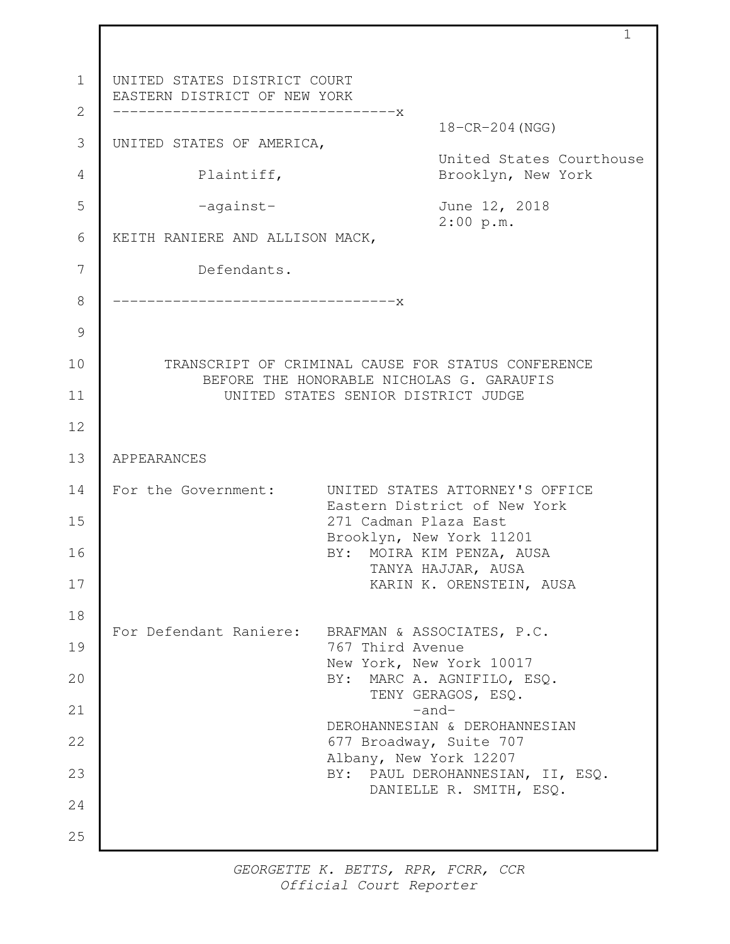UNITED STATES DISTRICT COURT EASTERN DISTRICT OF NEW YORK ---------------------------------x 18-CR-204(NGG) UNITED STATES OF AMERICA, United States Courthouse Plaintiff, Brooklyn, New York -against- June 12, 2018 2:00 p.m. KEITH RANIERE AND ALLISON MACK, Defendants. ---------------------------------x TRANSCRIPT OF CRIMINAL CAUSE FOR STATUS CONFERENCE BEFORE THE HONORABLE NICHOLAS G. GARAUFIS UNITED STATES SENIOR DISTRICT JUDGE APPEARANCES For the Government: UNITED STATES ATTORNEY'S OFFICE Eastern District of New York 271 Cadman Plaza East Brooklyn, New York 11201 BY: MOIRA KIM PENZA, AUSA TANYA HAJJAR, AUSA KARIN K. ORENSTEIN, AUSA For Defendant Raniere: BRAFMAN & ASSOCIATES, P.C. 767 Third Avenue New York, New York 10017 BY: MARC A. AGNIFILO, ESQ. TENY GERAGOS, ESQ. -and-DEROHANNESIAN & DEROHANNESIAN 677 Broadway, Suite 707 Albany, New York 12207 BY: PAUL DEROHANNESIAN, II, ESQ. DANIELLE R. SMITH, ESQ. 1 2 3 4 5 6 7 8 9 10 11 12 13 14 15 16 17 18 19 20 21 22 23 24 25

1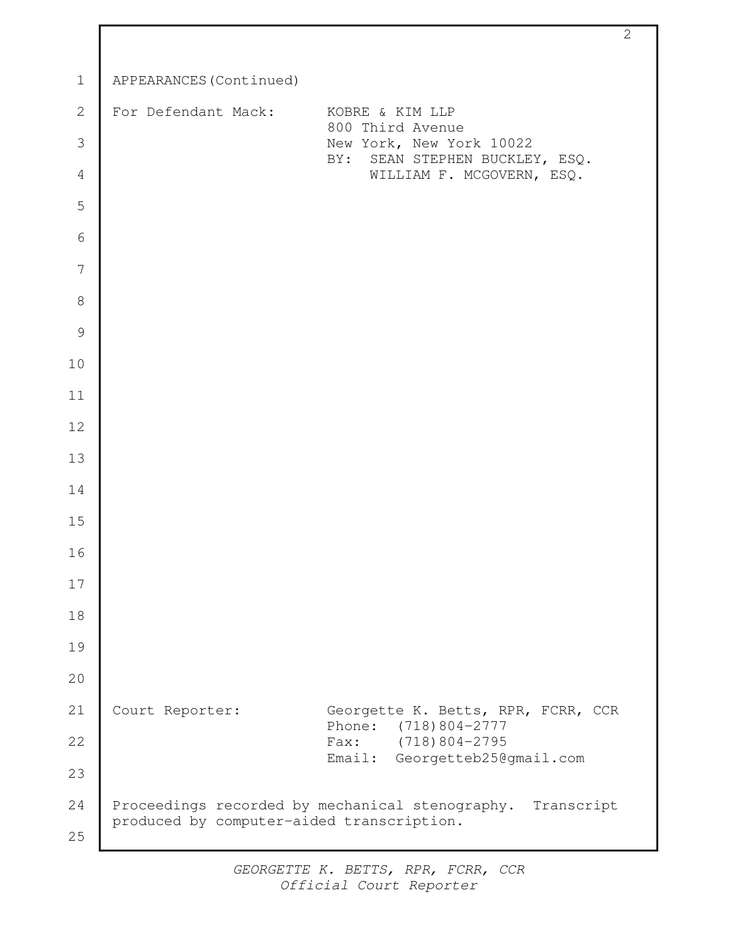| $\mathbf 1$    | APPEARANCES (Continued)                         |                                                             |
|----------------|-------------------------------------------------|-------------------------------------------------------------|
| $\mathbf{2}$   | For Defendant Mack:                             | KOBRE & KIM LLP<br>800 Third Avenue                         |
| 3              |                                                 | New York, New York 10022                                    |
| $\overline{4}$ |                                                 | BY: SEAN STEPHEN BUCKLEY, ESQ.<br>WILLIAM F. MCGOVERN, ESQ. |
| 5              |                                                 |                                                             |
| 6              |                                                 |                                                             |
| 7              |                                                 |                                                             |
| $\,8\,$        |                                                 |                                                             |
| $\mathcal{G}$  |                                                 |                                                             |
| 10             |                                                 |                                                             |
| 11             |                                                 |                                                             |
| 12             |                                                 |                                                             |
| 13             |                                                 |                                                             |
| 14             |                                                 |                                                             |
| 15             |                                                 |                                                             |
| 16             |                                                 |                                                             |
| 17             |                                                 |                                                             |
| 18             |                                                 |                                                             |
| 19             |                                                 |                                                             |
| 20             |                                                 |                                                             |
| 21             | Court Reporter:                                 | Georgette K. Betts, RPR, FCRR, CCR                          |
| 22             |                                                 | Phone:<br>$(718)804 - 2777$<br>Fax: $(718) 804 - 2795$      |
| 23             |                                                 | Email: Georgetteb25@gmail.com                               |
| 24             | Proceedings recorded by mechanical stenography. | Transcript                                                  |
| 25             | produced by computer-aided transcription.       |                                                             |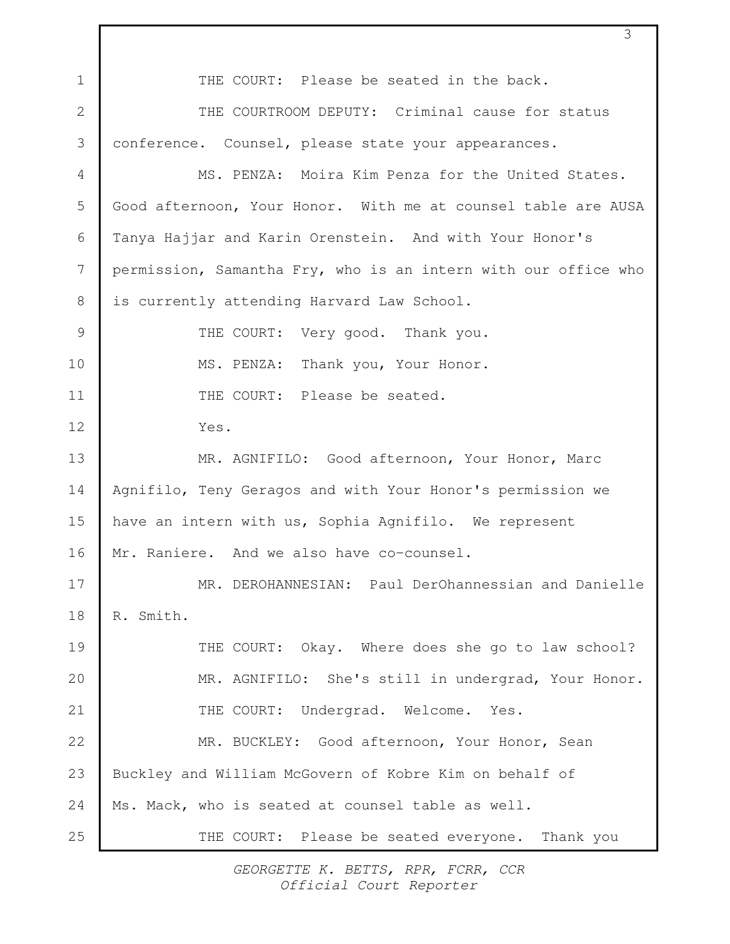THE COURT: Please be seated in the back. THE COURTROOM DEPUTY: Criminal cause for status conference. Counsel, please state your appearances. MS. PENZA: Moira Kim Penza for the United States. Good afternoon, Your Honor. With me at counsel table are AUSA Tanya Hajjar and Karin Orenstein. And with Your Honor's permission, Samantha Fry, who is an intern with our office who is currently attending Harvard Law School. THE COURT: Very good. Thank you. MS. PENZA: Thank you, Your Honor. THE COURT: Please be seated. Yes. MR. AGNIFILO: Good afternoon, Your Honor, Marc Agnifilo, Teny Geragos and with Your Honor's permission we have an intern with us, Sophia Agnifilo. We represent Mr. Raniere. And we also have co-counsel. MR. DEROHANNESIAN: Paul DerOhannessian and Danielle R. Smith. THE COURT: Okay. Where does she go to law school? MR. AGNIFILO: She's still in undergrad, Your Honor. THE COURT: Undergrad. Welcome. Yes. MR. BUCKLEY: Good afternoon, Your Honor, Sean Buckley and William McGovern of Kobre Kim on behalf of Ms. Mack, who is seated at counsel table as well. THE COURT: Please be seated everyone. Thank you 1 2 3 4 5 6 7 8 9 10 11 12 13 14 15 16 17 18 19  $20$ 21 22 23 24 25

3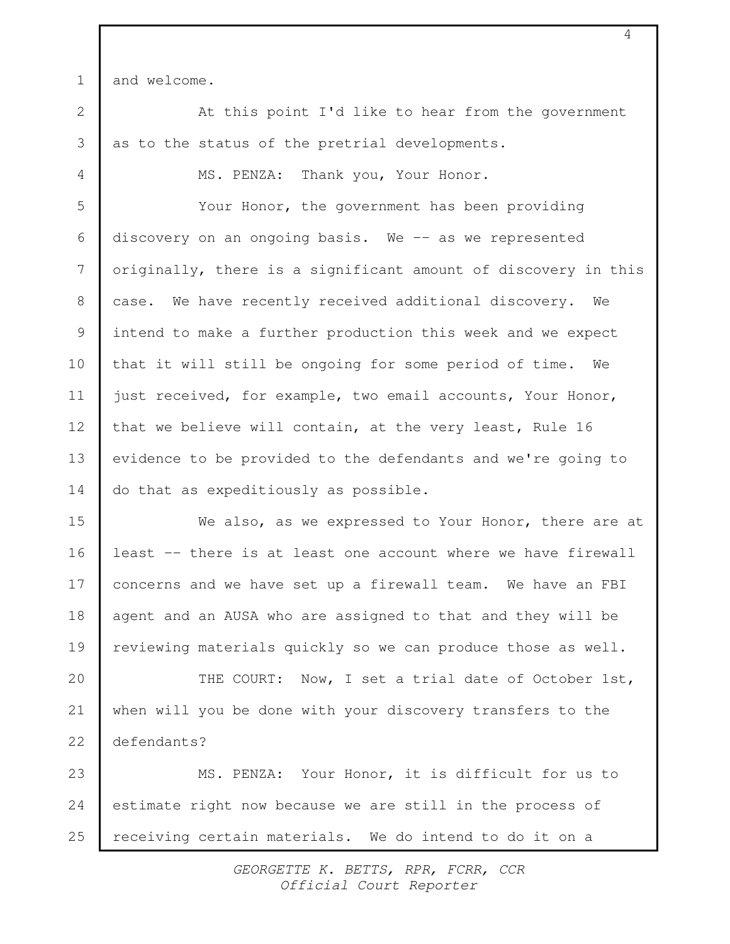1

4

and welcome.

At this point I'd like to hear from the government as to the status of the pretrial developments. 2 3

MS. PENZA: Thank you, Your Honor.

Your Honor, the government has been providing discovery on an ongoing basis. We  $-$  as we represented originally, there is a significant amount of discovery in this case. We have recently received additional discovery. We intend to make a further production this week and we expect that it will still be ongoing for some period of time. We just received, for example, two email accounts, Your Honor, that we believe will contain, at the very least, Rule 16 evidence to be provided to the defendants and we're going to do that as expeditiously as possible. 5 6 7 8 9 10 11 12 13 14

We also, as we expressed to Your Honor, there are at least -- there is at least one account where we have firewall concerns and we have set up a firewall team. We have an FBI agent and an AUSA who are assigned to that and they will be reviewing materials quickly so we can produce those as well. 15 16 17 18 19

THE COURT: Now, I set a trial date of October 1st, when will you be done with your discovery transfers to the defendants? 20 21 22

MS. PENZA: Your Honor, it is difficult for us to estimate right now because we are still in the process of receiving certain materials. We do intend to do it on a 23 24 25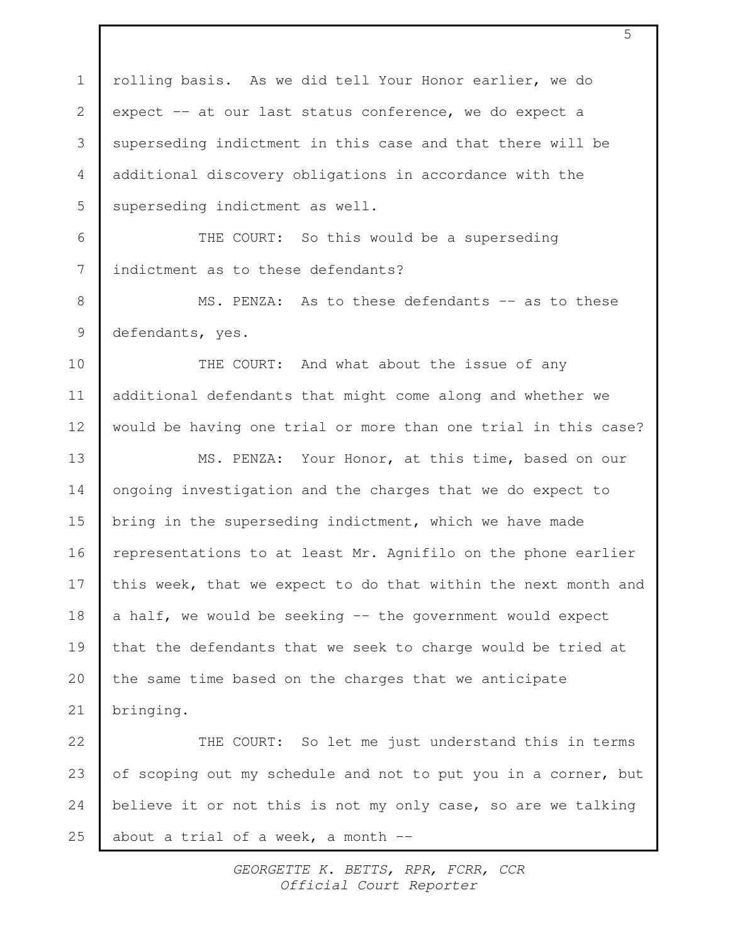rolling basis. As we did tell Your Honor earlier, we do expect -- at our last status conference, we do expect a superseding indictment in this case and that there will be additional discovery obligations in accordance with the superseding indictment as well. THE COURT: So this would be a superseding indictment as to these defendants? MS. PENZA: As to these defendants -- as to these defendants, yes. THE COURT: And what about the issue of any additional defendants that might come along and whether we would be having one trial or more than one trial in this case? MS. PENZA: Your Honor, at this time, based on our ongoing investigation and the charges that we do expect to bring in the superseding indictment, which we have made representations to at least Mr. Agnifilo on the phone earlier this week, that we expect to do that within the next month and a half, we would be seeking  $-$  the government would expect that the defendants that we seek to charge would be tried at the same time based on the charges that we anticipate bringing. THE COURT: So let me just understand this in terms of scoping out my schedule and not to put you in a corner, but believe it or not this is not my only case, so are we talking about a trial of a week, a month  $-$  1 2 3 4 5 6 7 8 9 10 11 12 13 14 15 16 17 18 19 20 21 22 23 24 25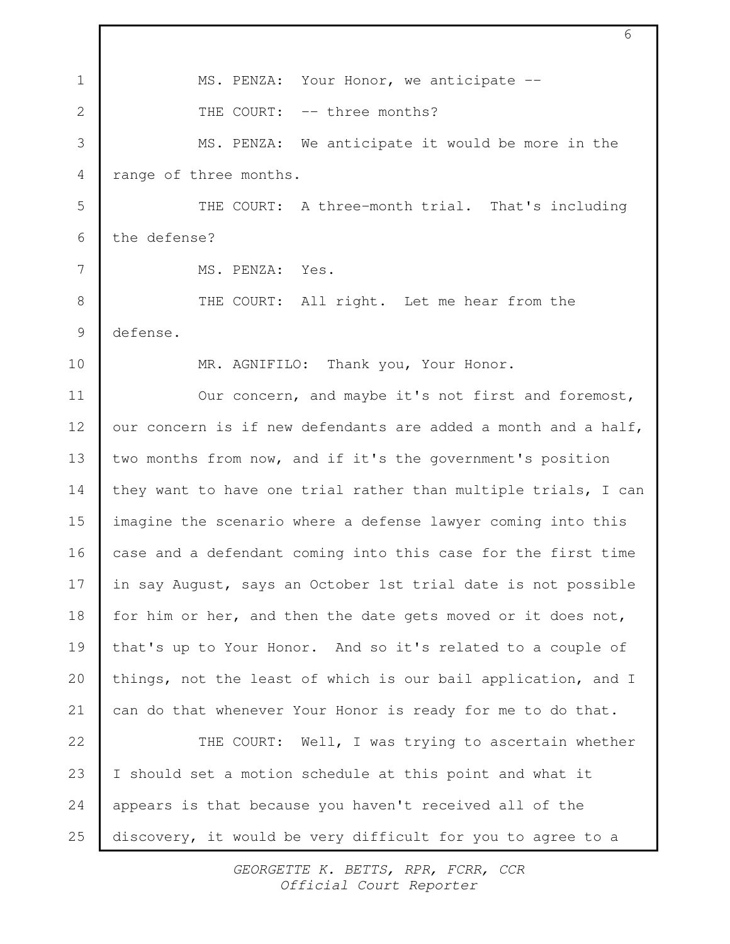MS. PENZA: Your Honor, we anticipate --THE COURT: -- three months? MS. PENZA: We anticipate it would be more in the range of three months. THE COURT: A three-month trial. That's including the defense? MS. PENZA: Yes. THE COURT: All right. Let me hear from the defense. MR. AGNIFILO: Thank you, Your Honor. Our concern, and maybe it's not first and foremost, our concern is if new defendants are added a month and a half, two months from now, and if it's the government's position they want to have one trial rather than multiple trials, I can imagine the scenario where a defense lawyer coming into this case and a defendant coming into this case for the first time in say August, says an October 1st trial date is not possible for him or her, and then the date gets moved or it does not, that's up to Your Honor. And so it's related to a couple of things, not the least of which is our bail application, and I can do that whenever Your Honor is ready for me to do that. THE COURT: Well, I was trying to ascertain whether I should set a motion schedule at this point and what it appears is that because you haven't received all of the discovery, it would be very difficult for you to agree to a 1 2 3 4 5 6 7 8 9 10 11 12 13 14 15 16 17 18 19 20 21 22 23 24 25

6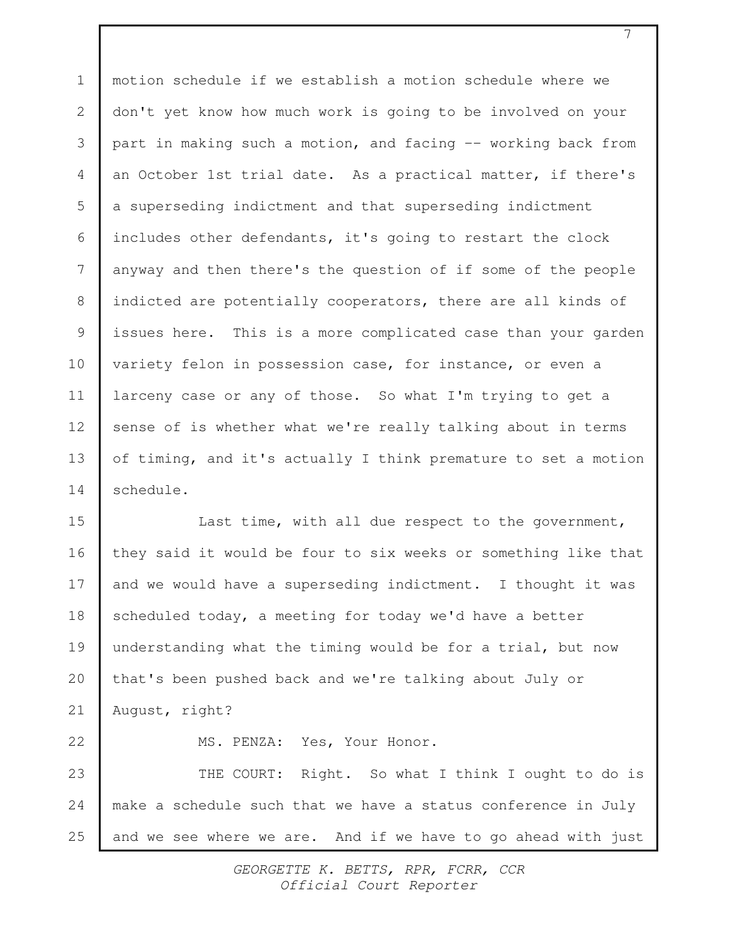motion schedule if we establish a motion schedule where we don't yet know how much work is going to be involved on your part in making such a motion, and facing -- working back from an October 1st trial date. As a practical matter, if there's a superseding indictment and that superseding indictment includes other defendants, it's going to restart the clock anyway and then there's the question of if some of the people indicted are potentially cooperators, there are all kinds of issues here. This is a more complicated case than your garden variety felon in possession case, for instance, or even a larceny case or any of those. So what I'm trying to get a sense of is whether what we're really talking about in terms of timing, and it's actually I think premature to set a motion schedule. 1 2 3 4 5 6 7 8 9 10 11 12 13 14

Last time, with all due respect to the government, they said it would be four to six weeks or something like that and we would have a superseding indictment. I thought it was scheduled today, a meeting for today we'd have a better understanding what the timing would be for a trial, but now that's been pushed back and we're talking about July or August, right? 15 16 17 18 19 20 21

MS. PENZA: Yes, Your Honor.

22

THE COURT: Right. So what I think I ought to do is make a schedule such that we have a status conference in July and we see where we are. And if we have to go ahead with just 23 24 25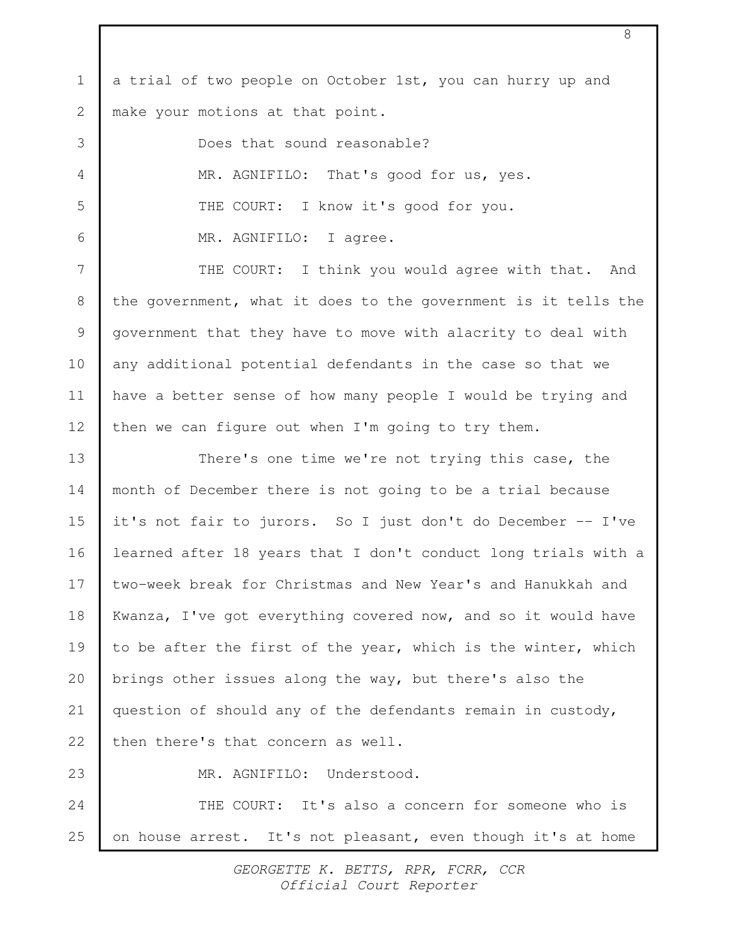a trial of two people on October 1st, you can hurry up and make your motions at that point. 1 2

Does that sound reasonable? MR. AGNIFILO: That's good for us, yes. THE COURT: I know it's good for you. MR. AGNIFILO: I agree.

3

4

5

6

23

THE COURT: I think you would agree with that. And the government, what it does to the government is it tells the government that they have to move with alacrity to deal with any additional potential defendants in the case so that we have a better sense of how many people I would be trying and then we can figure out when I'm going to try them. 7 8 9 10 11 12

There's one time we're not trying this case, the month of December there is not going to be a trial because it's not fair to jurors. So I just don't do December -- I've learned after 18 years that I don't conduct long trials with a two-week break for Christmas and New Year's and Hanukkah and Kwanza, I've got everything covered now, and so it would have to be after the first of the year, which is the winter, which brings other issues along the way, but there's also the question of should any of the defendants remain in custody, then there's that concern as well. 13 14 15 16 17 18 19 20 21 22

MR. AGNIFILO: Understood.

THE COURT: It's also a concern for someone who is on house arrest. It's not pleasant, even though it's at home 24 25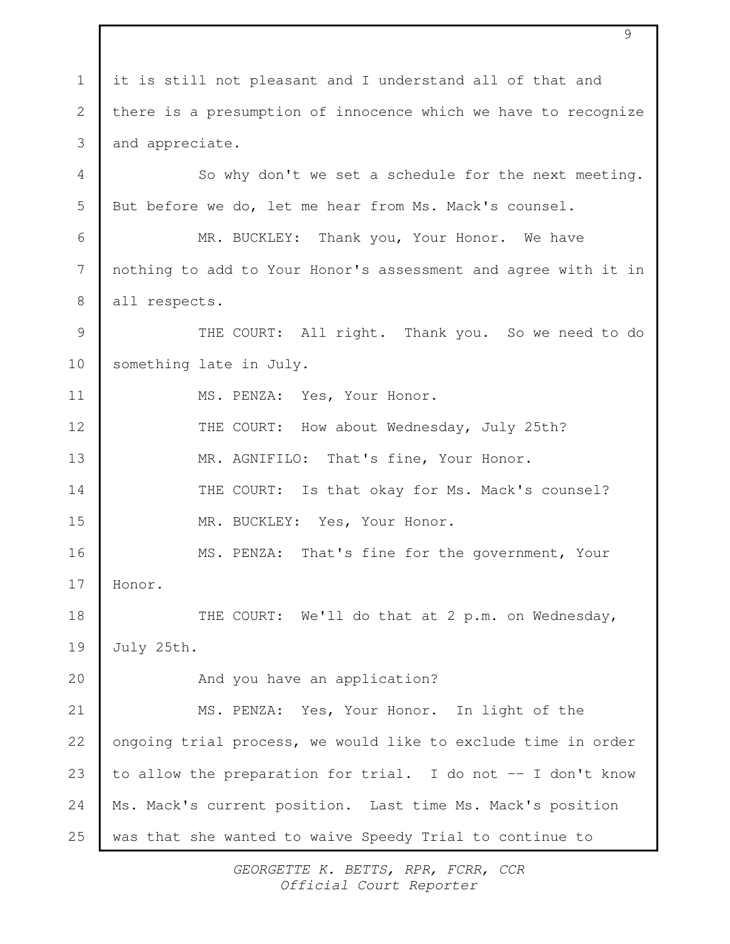it is still not pleasant and I understand all of that and there is a presumption of innocence which we have to recognize and appreciate. So why don't we set a schedule for the next meeting. But before we do, let me hear from Ms. Mack's counsel. MR. BUCKLEY: Thank you, Your Honor. We have nothing to add to Your Honor's assessment and agree with it in all respects. THE COURT: All right. Thank you. So we need to do something late in July. MS. PENZA: Yes, Your Honor. THE COURT: How about Wednesday, July 25th? MR. AGNIFILO: That's fine, Your Honor. THE COURT: Is that okay for Ms. Mack's counsel? MR. BUCKLEY: Yes, Your Honor. MS. PENZA: That's fine for the government, Your Honor. THE COURT: We'll do that at 2 p.m. on Wednesday, July 25th. And you have an application? MS. PENZA: Yes, Your Honor. In light of the ongoing trial process, we would like to exclude time in order to allow the preparation for trial. I do not -- I don't know Ms. Mack's current position. Last time Ms. Mack's position was that she wanted to waive Speedy Trial to continue to 1 2 3 4 5 6 7 8 9 10 11 12 13 14 15 16 17 18 19  $20$ 21 22 23 24 25

9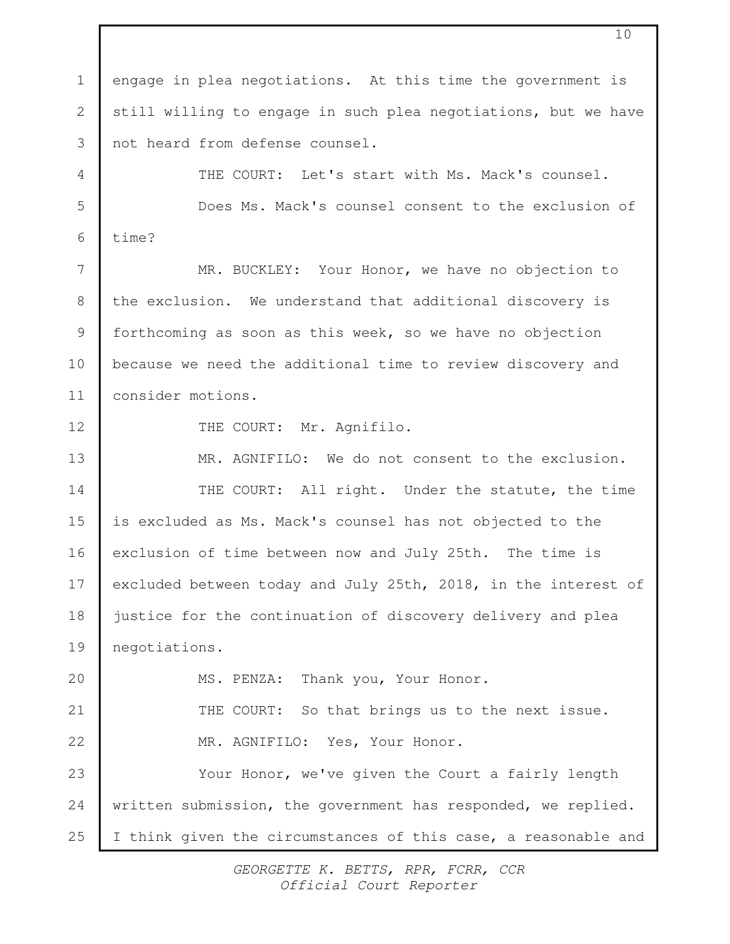engage in plea negotiations. At this time the government is still willing to engage in such plea negotiations, but we have not heard from defense counsel. THE COURT: Let's start with Ms. Mack's counsel. Does Ms. Mack's counsel consent to the exclusion of time? MR. BUCKLEY: Your Honor, we have no objection to the exclusion. We understand that additional discovery is forthcoming as soon as this week, so we have no objection because we need the additional time to review discovery and consider motions. THE COURT: Mr. Agnifilo. MR. AGNIFILO: We do not consent to the exclusion. THE COURT: All right. Under the statute, the time is excluded as Ms. Mack's counsel has not objected to the exclusion of time between now and July 25th. The time is excluded between today and July 25th, 2018, in the interest of justice for the continuation of discovery delivery and plea negotiations. MS. PENZA: Thank you, Your Honor. THE COURT: So that brings us to the next issue. MR. AGNIFILO: Yes, Your Honor. Your Honor, we've given the Court a fairly length written submission, the government has responded, we replied. I think given the circumstances of this case, a reasonable and 1 2 3 4 5 6 7 8 9 10 11 12 13 14 15 16 17 18 19 20 21 22 23 24 25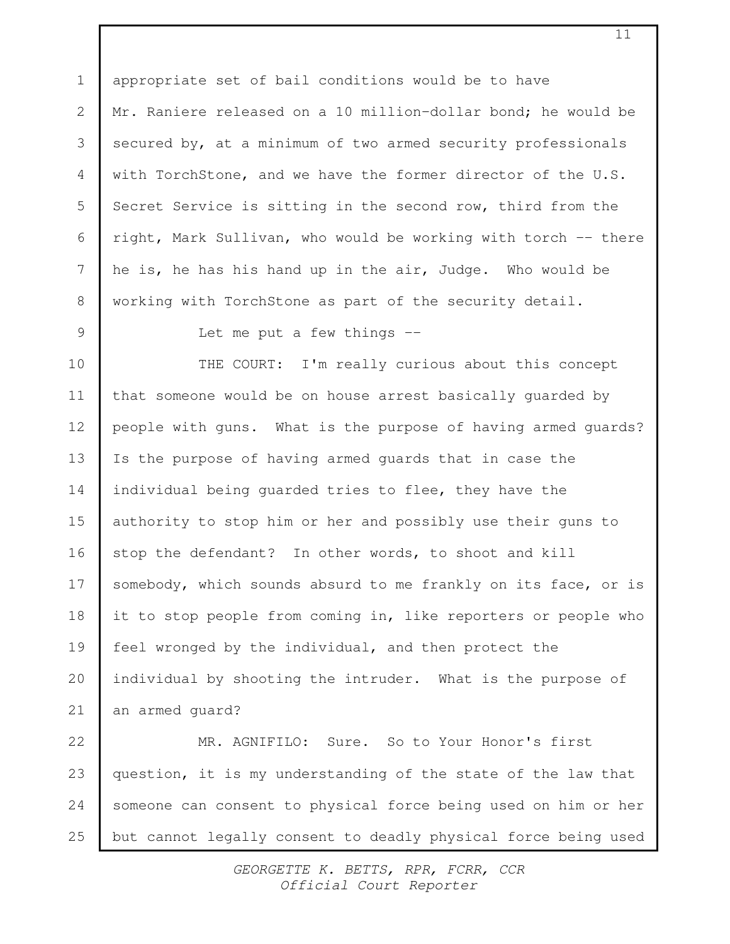appropriate set of bail conditions would be to have Mr. Raniere released on a 10 million-dollar bond; he would be secured by, at a minimum of two armed security professionals with TorchStone, and we have the former director of the U.S. Secret Service is sitting in the second row, third from the right, Mark Sullivan, who would be working with torch -- there he is, he has his hand up in the air, Judge. Who would be working with TorchStone as part of the security detail. 1 2 3 4 5 6 7 8

9

Let me put a few things --

THE COURT: I'm really curious about this concept that someone would be on house arrest basically guarded by people with guns. What is the purpose of having armed guards? Is the purpose of having armed guards that in case the individual being guarded tries to flee, they have the authority to stop him or her and possibly use their guns to stop the defendant? In other words, to shoot and kill somebody, which sounds absurd to me frankly on its face, or is it to stop people from coming in, like reporters or people who feel wronged by the individual, and then protect the individual by shooting the intruder. What is the purpose of an armed guard? 10 11 12 13 14 15 16 17 18 19 20 21

MR. AGNIFILO: Sure. So to Your Honor's first question, it is my understanding of the state of the law that someone can consent to physical force being used on him or her but cannot legally consent to deadly physical force being used 22 23 24 25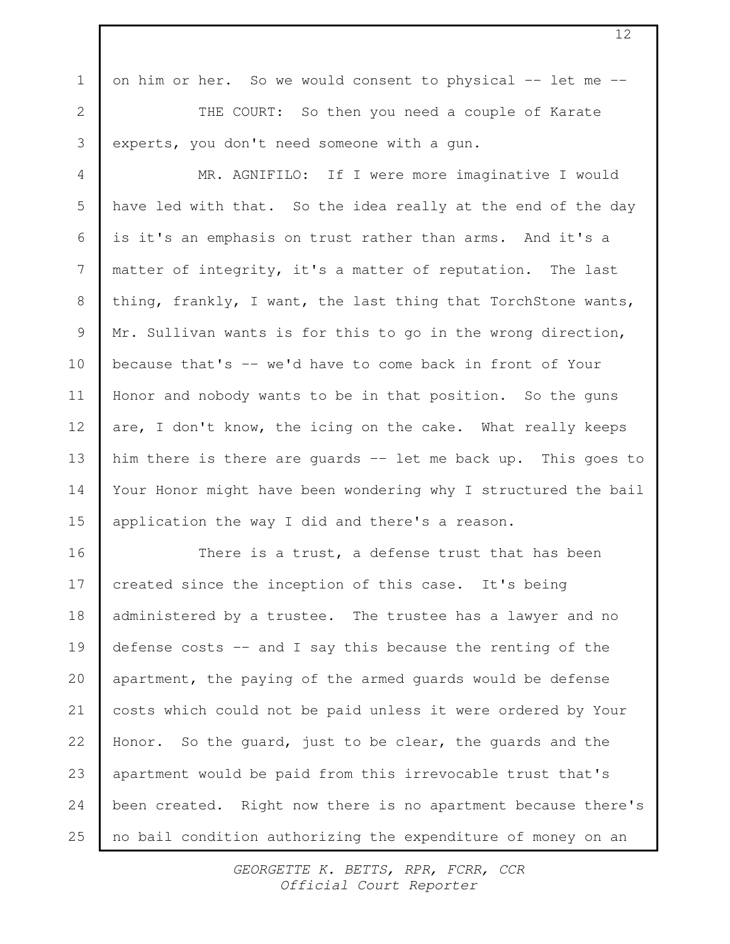on him or her. So we would consent to physical -- let me --

1

2

3

THE COURT: So then you need a couple of Karate experts, you don't need someone with a gun.

MR. AGNIFILO: If I were more imaginative I would have led with that. So the idea really at the end of the day is it's an emphasis on trust rather than arms. And it's a matter of integrity, it's a matter of reputation. The last thing, frankly, I want, the last thing that TorchStone wants, Mr. Sullivan wants is for this to go in the wrong direction, because that's -- we'd have to come back in front of Your Honor and nobody wants to be in that position. So the guns are, I don't know, the icing on the cake. What really keeps him there is there are guards -- let me back up. This goes to Your Honor might have been wondering why I structured the bail application the way I did and there's a reason. 4 5 6 7 8 9 10 11 12 13 14 15

There is a trust, a defense trust that has been created since the inception of this case. It's being administered by a trustee. The trustee has a lawyer and no defense costs  $-$  and I say this because the renting of the apartment, the paying of the armed guards would be defense costs which could not be paid unless it were ordered by Your Honor. So the guard, just to be clear, the guards and the apartment would be paid from this irrevocable trust that's been created. Right now there is no apartment because there's no bail condition authorizing the expenditure of money on an 16 17 18 19 20 21 22 23 24 25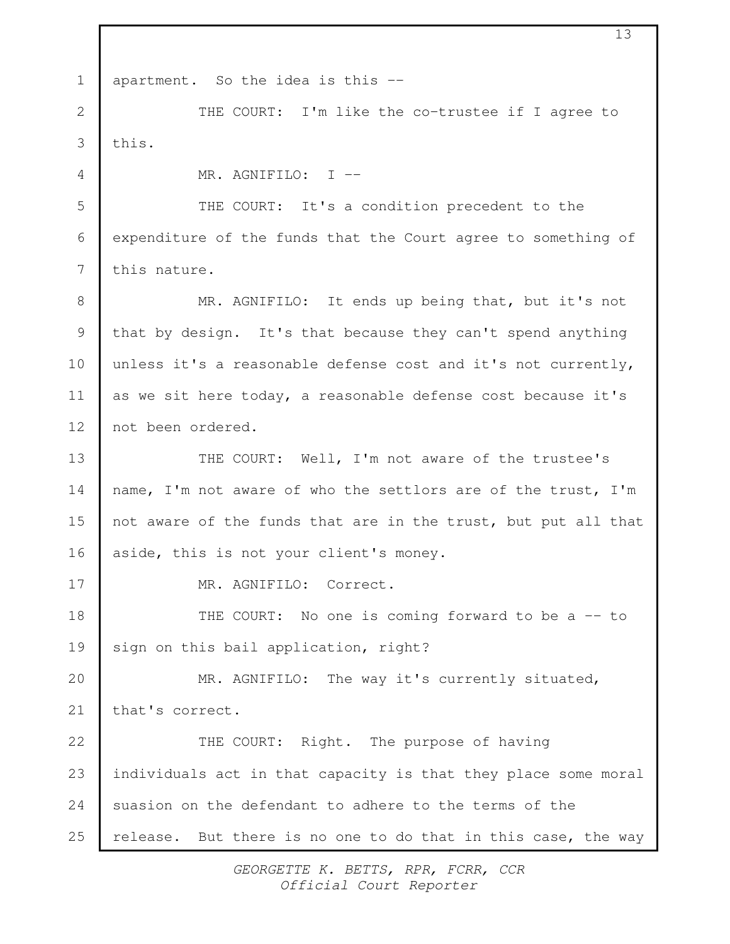| $\mathbf 1$ | apartment. So the idea is this --                              |  |
|-------------|----------------------------------------------------------------|--|
| 2           | THE COURT: I'm like the co-trustee if I agree to               |  |
| 3           | this.                                                          |  |
| 4           | MR. AGNIFILO: I --                                             |  |
| 5           | THE COURT: It's a condition precedent to the                   |  |
| 6           | expenditure of the funds that the Court agree to something of  |  |
| 7           | this nature.                                                   |  |
| 8           | MR. AGNIFILO: It ends up being that, but it's not              |  |
| 9           | that by design. It's that because they can't spend anything    |  |
| 10          | unless it's a reasonable defense cost and it's not currently,  |  |
| 11          | as we sit here today, a reasonable defense cost because it's   |  |
| 12          | not been ordered.                                              |  |
| 13          | THE COURT: Well, I'm not aware of the trustee's                |  |
| 14          | name, I'm not aware of who the settlors are of the trust, I'm  |  |
| 15          | not aware of the funds that are in the trust, but put all that |  |
| 16          | aside, this is not your client's money.                        |  |
| 17          | MR. AGNIFILO: Correct.                                         |  |
| 18          | THE COURT: No one is coming forward to be a -- to              |  |
| 19          | sign on this bail application, right?                          |  |
| 20          | MR. AGNIFILO: The way it's currently situated,                 |  |
| 21          | that's correct.                                                |  |
| 22          | THE COURT: Right. The purpose of having                        |  |
| 23          | individuals act in that capacity is that they place some moral |  |
| 24          | suasion on the defendant to adhere to the terms of the         |  |
| 25          | release. But there is no one to do that in this case, the way  |  |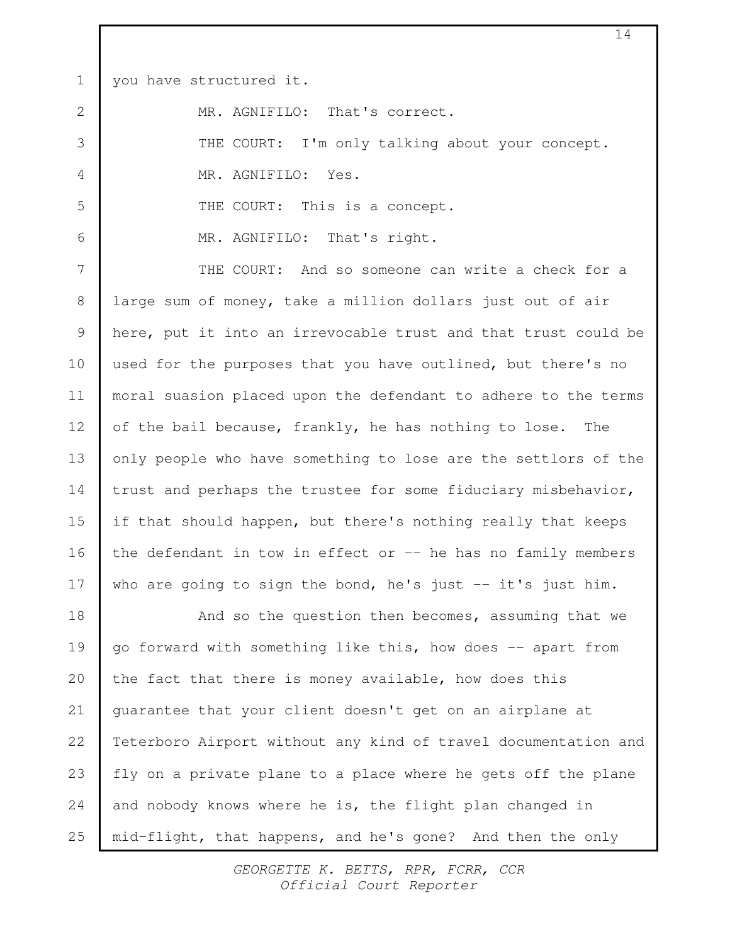you have structured it. 1

2

3

4

5

6

MR. AGNIFILO: That's correct.

THE COURT: I'm only talking about your concept.

MR. AGNIFILO: Yes.

THE COURT: This is a concept.

MR. AGNIFILO: That's right.

THE COURT: And so someone can write a check for a large sum of money, take a million dollars just out of air here, put it into an irrevocable trust and that trust could be used for the purposes that you have outlined, but there's no moral suasion placed upon the defendant to adhere to the terms of the bail because, frankly, he has nothing to lose. The only people who have something to lose are the settlors of the trust and perhaps the trustee for some fiduciary misbehavior, if that should happen, but there's nothing really that keeps the defendant in tow in effect or  $-$  he has no family members who are going to sign the bond, he's just  $-$  it's just him. 7 8 9 10 11 12 13 14 15 16 17

And so the question then becomes, assuming that we go forward with something like this, how does -- apart from the fact that there is money available, how does this guarantee that your client doesn't get on an airplane at Teterboro Airport without any kind of travel documentation and fly on a private plane to a place where he gets off the plane and nobody knows where he is, the flight plan changed in mid-flight, that happens, and he's gone? And then the only 18 19 20 21 22 23 24 25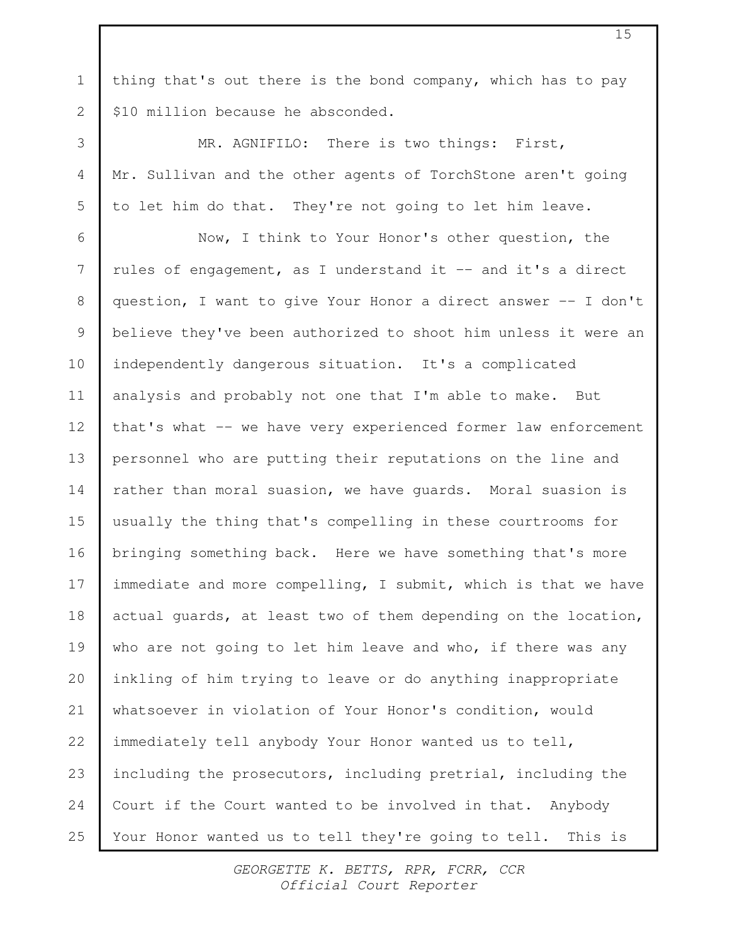thing that's out there is the bond company, which has to pay \$10 million because he absconded.

1

2

3

4

5

MR. AGNIFILO: There is two things: First, Mr. Sullivan and the other agents of TorchStone aren't going to let him do that. They're not going to let him leave.

Now, I think to Your Honor's other question, the rules of engagement, as I understand it -- and it's a direct question, I want to give Your Honor a direct answer -- I don't believe they've been authorized to shoot him unless it were an independently dangerous situation. It's a complicated analysis and probably not one that I'm able to make. But that's what -- we have very experienced former law enforcement personnel who are putting their reputations on the line and rather than moral suasion, we have guards. Moral suasion is usually the thing that's compelling in these courtrooms for bringing something back. Here we have something that's more immediate and more compelling, I submit, which is that we have actual guards, at least two of them depending on the location, who are not going to let him leave and who, if there was any inkling of him trying to leave or do anything inappropriate whatsoever in violation of Your Honor's condition, would immediately tell anybody Your Honor wanted us to tell, including the prosecutors, including pretrial, including the Court if the Court wanted to be involved in that. Anybody Your Honor wanted us to tell they're going to tell. This is 6 7 8 9 10 11 12 13 14 15 16 17 18 19 20 21 22 23 24 25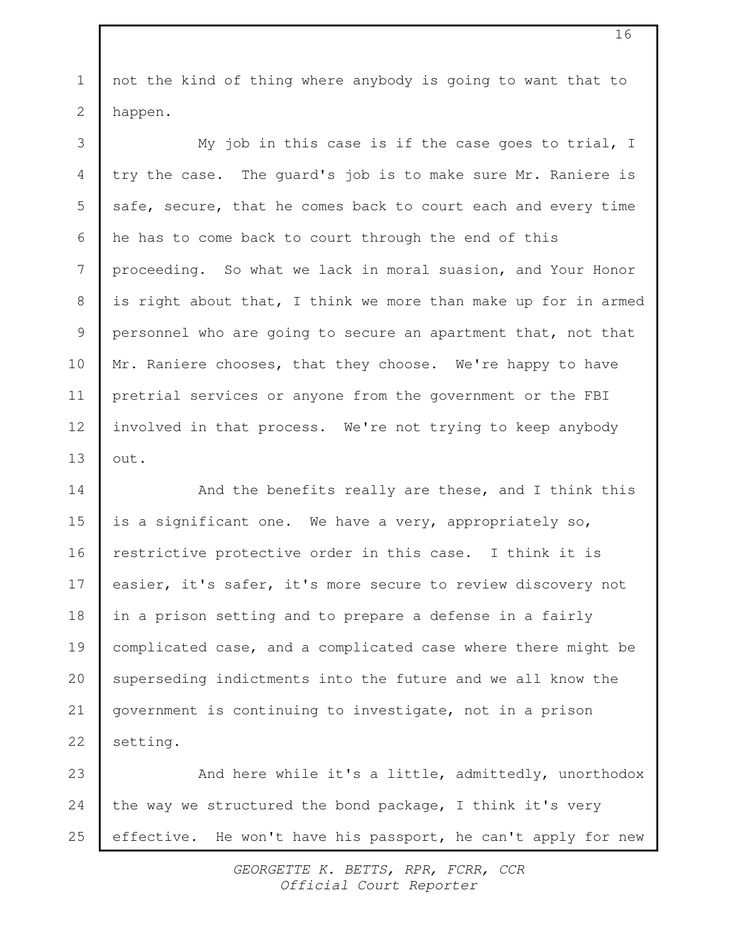not the kind of thing where anybody is going to want that to happen. 1 2

My job in this case is if the case goes to trial, I try the case. The guard's job is to make sure Mr. Raniere is safe, secure, that he comes back to court each and every time he has to come back to court through the end of this proceeding. So what we lack in moral suasion, and Your Honor is right about that, I think we more than make up for in armed personnel who are going to secure an apartment that, not that Mr. Raniere chooses, that they choose. We're happy to have pretrial services or anyone from the government or the FBI involved in that process. We're not trying to keep anybody out. 3 4 5 6 7 8 9 10 11 12 13

And the benefits really are these, and I think this is a significant one. We have a very, appropriately so, restrictive protective order in this case. I think it is easier, it's safer, it's more secure to review discovery not in a prison setting and to prepare a defense in a fairly complicated case, and a complicated case where there might be superseding indictments into the future and we all know the government is continuing to investigate, not in a prison setting. 14 15 16 17 18 19 20 21 22

And here while it's a little, admittedly, unorthodox the way we structured the bond package, I think it's very effective. He won't have his passport, he can't apply for new 23 24 25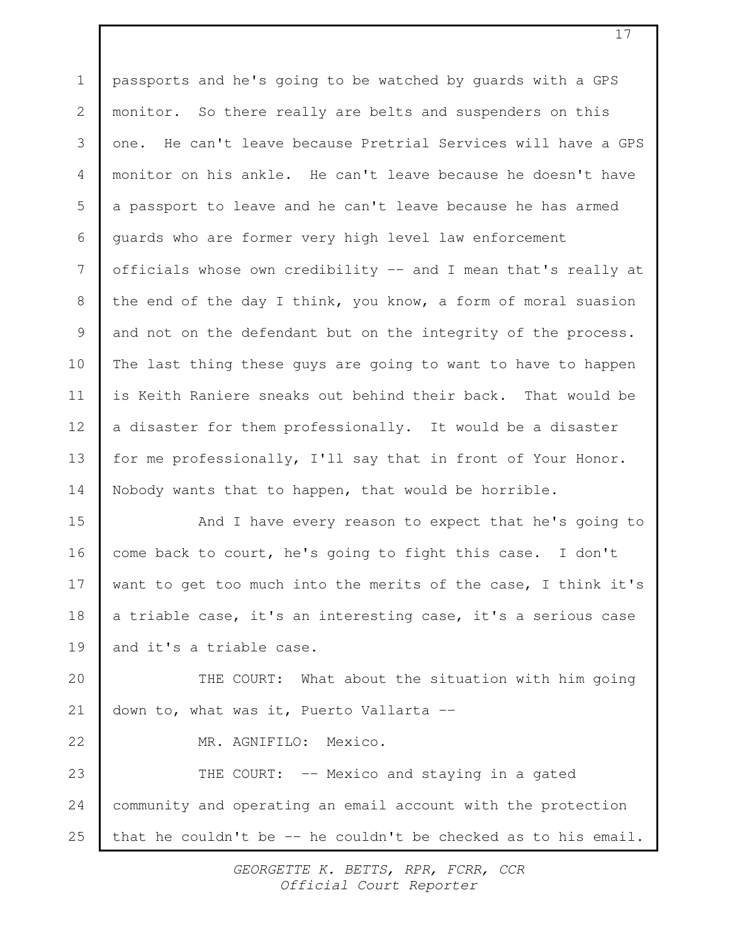passports and he's going to be watched by guards with a GPS monitor. So there really are belts and suspenders on this one. He can't leave because Pretrial Services will have a GPS monitor on his ankle. He can't leave because he doesn't have a passport to leave and he can't leave because he has armed guards who are former very high level law enforcement officials whose own credibility -- and I mean that's really at the end of the day I think, you know, a form of moral suasion and not on the defendant but on the integrity of the process. The last thing these guys are going to want to have to happen is Keith Raniere sneaks out behind their back. That would be a disaster for them professionally. It would be a disaster for me professionally, I'll say that in front of Your Honor. Nobody wants that to happen, that would be horrible. And I have every reason to expect that he's going to come back to court, he's going to fight this case. I don't want to get too much into the merits of the case, I think it's a triable case, it's an interesting case, it's a serious case and it's a triable case. THE COURT: What about the situation with him going down to, what was it, Puerto Vallarta -- MR. AGNIFILO: Mexico. THE COURT: -- Mexico and staying in a gated 1 2 3 4 5 6 7 8 9 10 11 12 13 14 15 16 17 18 19 20 21 22 23

that he couldn't be -- he couldn't be checked as to his email. 25

24

community and operating an email account with the protection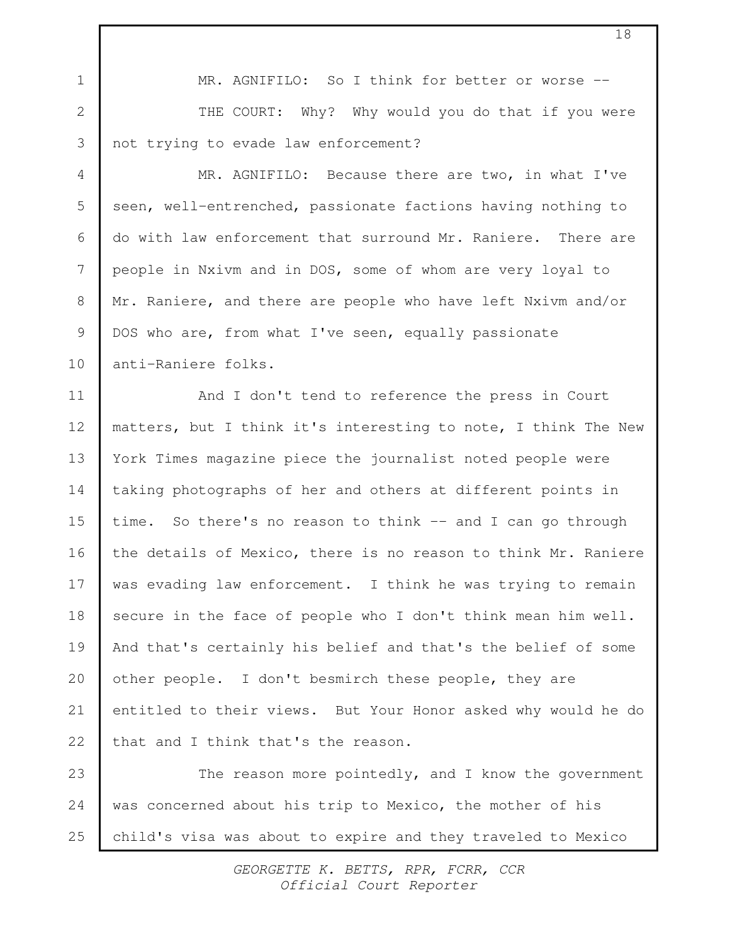MR. AGNIFILO: So I think for better or worse --THE COURT: Why? Why would you do that if you were not trying to evade law enforcement? MR. AGNIFILO: Because there are two, in what I've seen, well-entrenched, passionate factions having nothing to do with law enforcement that surround Mr. Raniere. There are people in Nxivm and in DOS, some of whom are very loyal to Mr. Raniere, and there are people who have left Nxivm and/or DOS who are, from what I've seen, equally passionate anti-Raniere folks. And I don't tend to reference the press in Court matters, but I think it's interesting to note, I think The New York Times magazine piece the journalist noted people were taking photographs of her and others at different points in time. So there's no reason to think -- and I can go through the details of Mexico, there is no reason to think Mr. Raniere was evading law enforcement. I think he was trying to remain secure in the face of people who I don't think mean him well. And that's certainly his belief and that's the belief of some other people. I don't besmirch these people, they are entitled to their views. But Your Honor asked why would he do that and I think that's the reason. The reason more pointedly, and I know the government was concerned about his trip to Mexico, the mother of his child's visa was about to expire and they traveled to Mexico 1 2 3 4 5 6 7 8 9 10 11 12 13 14 15 16 17 18 19 20 21 22 23 24 25

> GEORGETTE K. BETTS, RPR, FCRR, CCR Official Court Reporter

18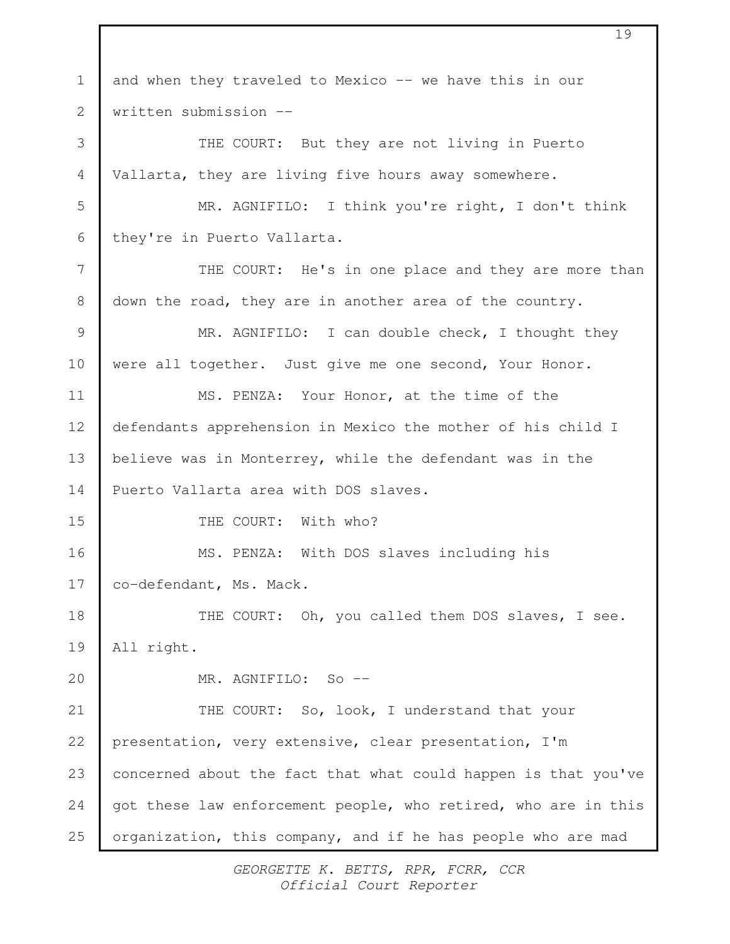and when they traveled to Mexico -- we have this in our written submission -- THE COURT: But they are not living in Puerto Vallarta, they are living five hours away somewhere. MR. AGNIFILO: I think you're right, I don't think they're in Puerto Vallarta. THE COURT: He's in one place and they are more than down the road, they are in another area of the country. MR. AGNIFILO: I can double check, I thought they were all together. Just give me one second, Your Honor. MS. PENZA: Your Honor, at the time of the defendants apprehension in Mexico the mother of his child I believe was in Monterrey, while the defendant was in the Puerto Vallarta area with DOS slaves. THE COURT: With who? MS. PENZA: With DOS slaves including his co-defendant, Ms. Mack. THE COURT: Oh, you called them DOS slaves, I see. All right. MR. AGNIFILO: So -- THE COURT: So, look, I understand that your presentation, very extensive, clear presentation, I'm concerned about the fact that what could happen is that you've got these law enforcement people, who retired, who are in this organization, this company, and if he has people who are mad 1 2 3 4 5 6 7 8 9 10 11 12 13 14 15 16 17 18 19 20 21 22 23 24 25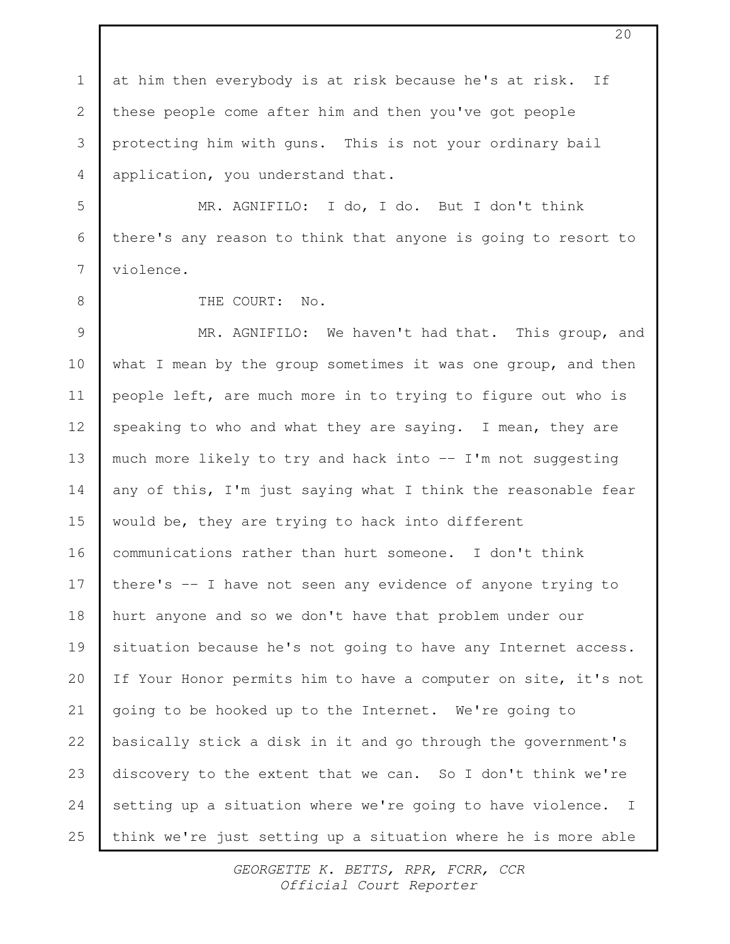at him then everybody is at risk because he's at risk. If these people come after him and then you've got people protecting him with guns. This is not your ordinary bail application, you understand that. 1 2 3 4

MR. AGNIFILO: I do, I do. But I don't think there's any reason to think that anyone is going to resort to violence. 5 6 7

8

THE COURT: No.

MR. AGNIFILO: We haven't had that. This group, and what I mean by the group sometimes it was one group, and then people left, are much more in to trying to figure out who is speaking to who and what they are saying. I mean, they are much more likely to try and hack into -- I'm not suggesting any of this, I'm just saying what I think the reasonable fear would be, they are trying to hack into different communications rather than hurt someone. I don't think there's -- I have not seen any evidence of anyone trying to hurt anyone and so we don't have that problem under our situation because he's not going to have any Internet access. If Your Honor permits him to have a computer on site, it's not going to be hooked up to the Internet. We're going to basically stick a disk in it and go through the government's discovery to the extent that we can. So I don't think we're setting up a situation where we're going to have violence. I think we're just setting up a situation where he is more able 9 10 11 12 13 14 15 16 17 18 19 20 21 22 23 24 25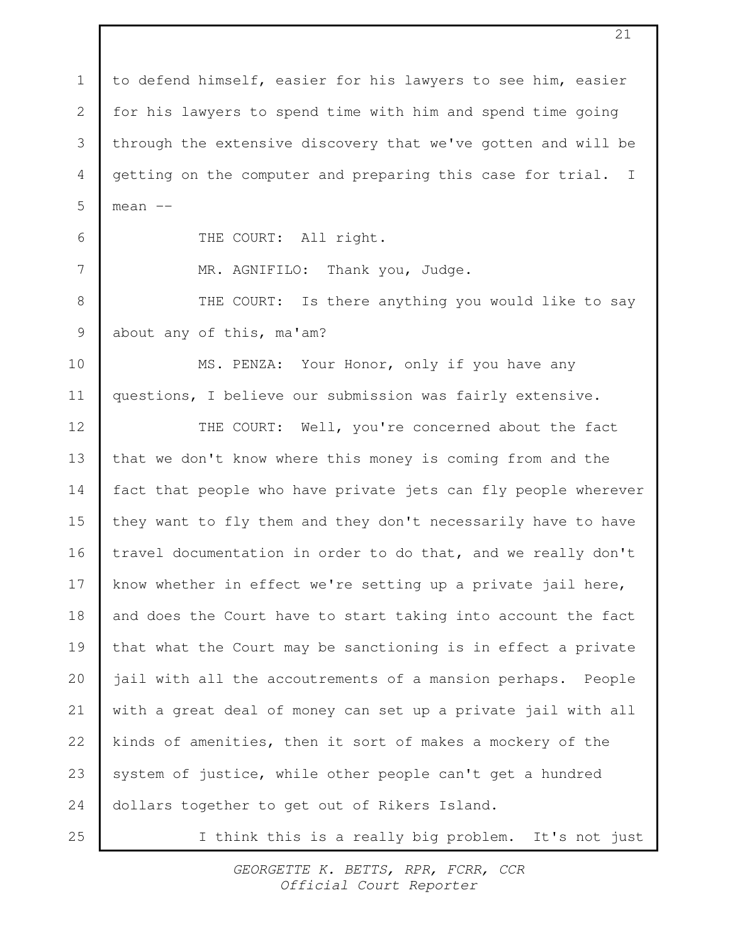to defend himself, easier for his lawyers to see him, easier for his lawyers to spend time with him and spend time going through the extensive discovery that we've gotten and will be getting on the computer and preparing this case for trial. I mean -- THE COURT: All right. MR. AGNIFILO: Thank you, Judge. THE COURT: Is there anything you would like to say about any of this, ma'am? MS. PENZA: Your Honor, only if you have any questions, I believe our submission was fairly extensive. THE COURT: Well, you're concerned about the fact that we don't know where this money is coming from and the fact that people who have private jets can fly people wherever they want to fly them and they don't necessarily have to have travel documentation in order to do that, and we really don't know whether in effect we're setting up a private jail here, and does the Court have to start taking into account the fact that what the Court may be sanctioning is in effect a private jail with all the accoutrements of a mansion perhaps. People with a great deal of money can set up a private jail with all kinds of amenities, then it sort of makes a mockery of the system of justice, while other people can't get a hundred dollars together to get out of Rikers Island. I think this is a really big problem. It's not just 1 2 3 4 5 6 7 8 9 10 11 12 13 14 15 16 17 18 19 20 21 22 23 24 25

> GEORGETTE K. BETTS, RPR, FCRR, CCR Official Court Reporter

21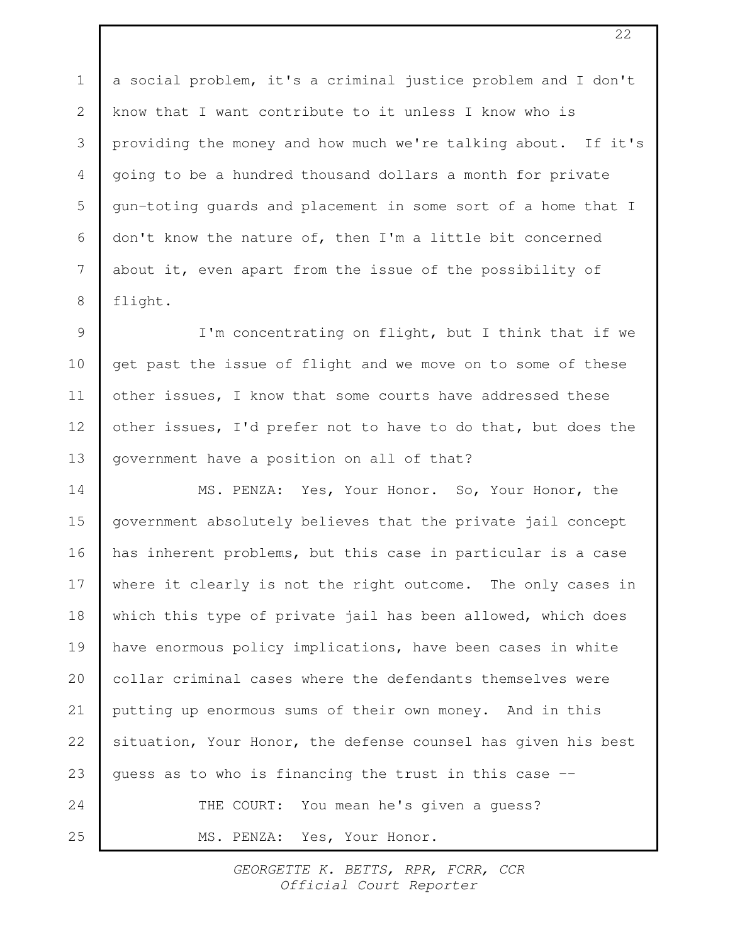a social problem, it's a criminal justice problem and I don't know that I want contribute to it unless I know who is providing the money and how much we're talking about. If it's going to be a hundred thousand dollars a month for private gun-toting guards and placement in some sort of a home that I don't know the nature of, then I'm a little bit concerned about it, even apart from the issue of the possibility of flight. 1 2 3 4 5 6 7 8

I'm concentrating on flight, but I think that if we get past the issue of flight and we move on to some of these other issues, I know that some courts have addressed these other issues, I'd prefer not to have to do that, but does the government have a position on all of that? 9 10 11 12 13

MS. PENZA: Yes, Your Honor. So, Your Honor, the government absolutely believes that the private jail concept has inherent problems, but this case in particular is a case where it clearly is not the right outcome. The only cases in which this type of private jail has been allowed, which does have enormous policy implications, have been cases in white collar criminal cases where the defendants themselves were putting up enormous sums of their own money. And in this situation, Your Honor, the defense counsel has given his best guess as to who is financing the trust in this case -- THE COURT: You mean he's given a guess? MS. PENZA: Yes, Your Honor. 14 15 16 17 18 19 20 21 22 23 24 25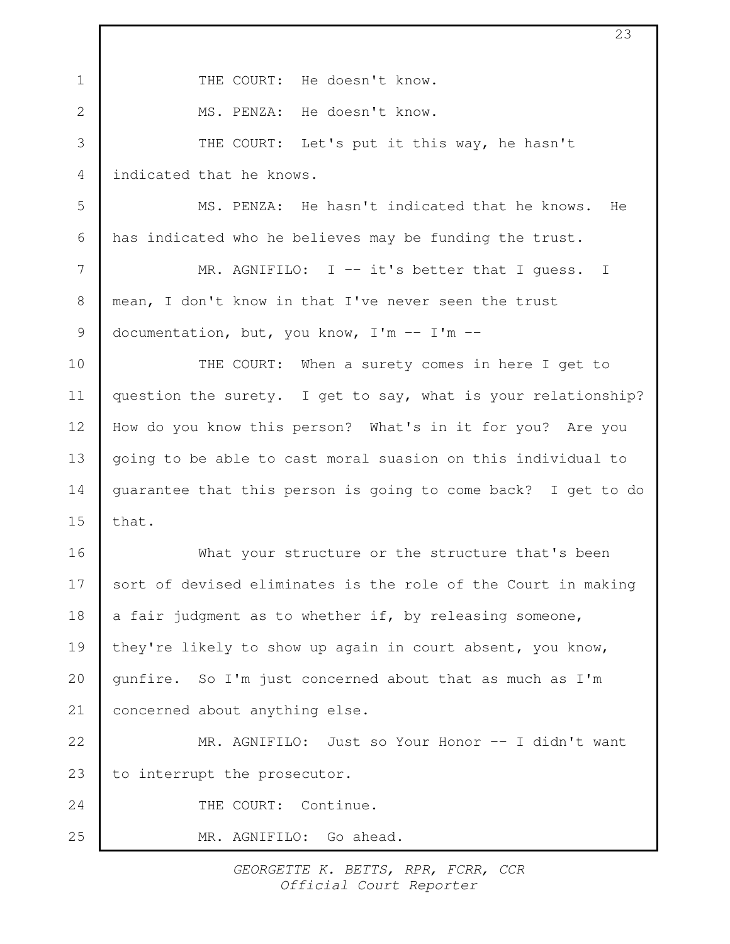| $\mathbf 1$ | THE COURT: He doesn't know.                                   |
|-------------|---------------------------------------------------------------|
| 2           | MS. PENZA: He doesn't know.                                   |
| 3           | THE COURT: Let's put it this way, he hasn't                   |
| 4           | indicated that he knows.                                      |
| 5           | MS. PENZA: He hasn't indicated that he knows. He              |
| 6           | has indicated who he believes may be funding the trust.       |
| 7           | MR. AGNIFILO: $I$ -- it's better that I quess. I              |
| $8\,$       | mean, I don't know in that I've never seen the trust          |
| 9           | documentation, but, you know, $I'm - I'm -$                   |
| 10          | THE COURT: When a surety comes in here I get to               |
| 11          | question the surety. I get to say, what is your relationship? |
| 12          | How do you know this person? What's in it for you? Are you    |
| 13          | going to be able to cast moral suasion on this individual to  |
| 14          | guarantee that this person is going to come back? I get to do |
| 15          | that.                                                         |
| 16          | What your structure or the structure that's been              |
| 17          | sort of devised eliminates is the role of the Court in making |
| 18          | a fair judgment as to whether if, by releasing someone,       |
| 19          | they're likely to show up again in court absent, you know,    |
| 20          | qunfire. So I'm just concerned about that as much as I'm      |
| 21          | concerned about anything else.                                |
| 22          | MR. AGNIFILO: Just so Your Honor -- I didn't want             |
| 23          | to interrupt the prosecutor.                                  |
| 24          | THE COURT: Continue.                                          |
| 25          | MR. AGNIFILO: Go ahead.                                       |

 $\lceil$ 

23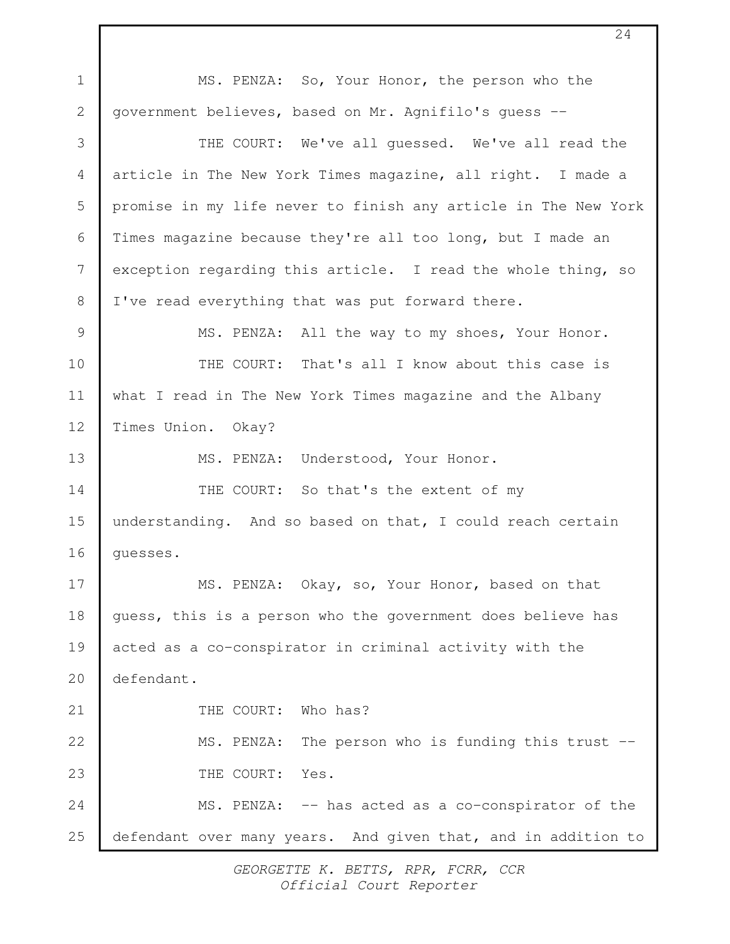MS. PENZA: So, Your Honor, the person who the government believes, based on Mr. Agnifilo's guess -- THE COURT: We've all guessed. We've all read the article in The New York Times magazine, all right. I made a promise in my life never to finish any article in The New York Times magazine because they're all too long, but I made an exception regarding this article. I read the whole thing, so I've read everything that was put forward there. MS. PENZA: All the way to my shoes, Your Honor. THE COURT: That's all I know about this case is what I read in The New York Times magazine and the Albany Times Union. Okay? MS. PENZA: Understood, Your Honor. THE COURT: So that's the extent of my understanding. And so based on that, I could reach certain guesses. MS. PENZA: Okay, so, Your Honor, based on that guess, this is a person who the government does believe has acted as a co-conspirator in criminal activity with the defendant. THE COURT: Who has? MS. PENZA: The person who is funding this trust --THE COURT: Yes. MS. PENZA: -- has acted as a co-conspirator of the defendant over many years. And given that, and in addition to 1 2 3 4 5 6 7 8 9 10 11 12 13 14 15 16 17 18 19 20 21 22 23 24 25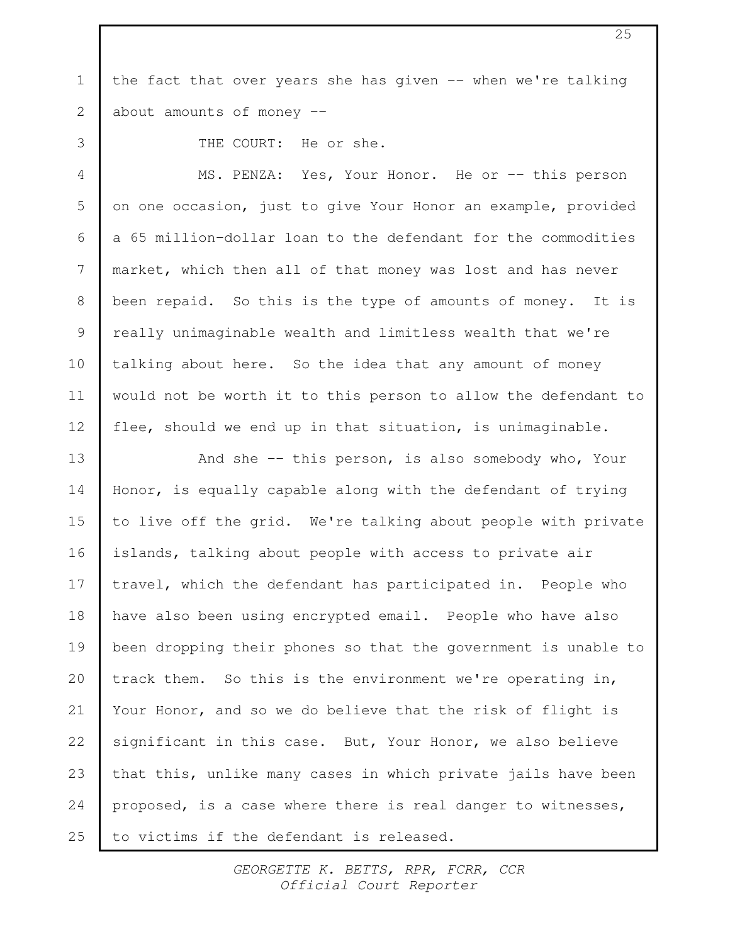the fact that over years she has given -- when we're talking about amounts of money -- 1 2

3

4

9

11

THE COURT: He or she.

MS. PENZA: Yes, Your Honor. He or -- this person on one occasion, just to give Your Honor an example, provided a 65 million-dollar loan to the defendant for the commodities market, which then all of that money was lost and has never been repaid. So this is the type of amounts of money. It is really unimaginable wealth and limitless wealth that we're talking about here. So the idea that any amount of money would not be worth it to this person to allow the defendant to flee, should we end up in that situation, is unimaginable. 5 6 7 8 10 12

And she -- this person, is also somebody who, Your Honor, is equally capable along with the defendant of trying to live off the grid. We're talking about people with private islands, talking about people with access to private air travel, which the defendant has participated in. People who have also been using encrypted email. People who have also been dropping their phones so that the government is unable to track them. So this is the environment we're operating in, Your Honor, and so we do believe that the risk of flight is significant in this case. But, Your Honor, we also believe that this, unlike many cases in which private jails have been proposed, is a case where there is real danger to witnesses, to victims if the defendant is released. 13 14 15 16 17 18 19 20 21 22 23 24 25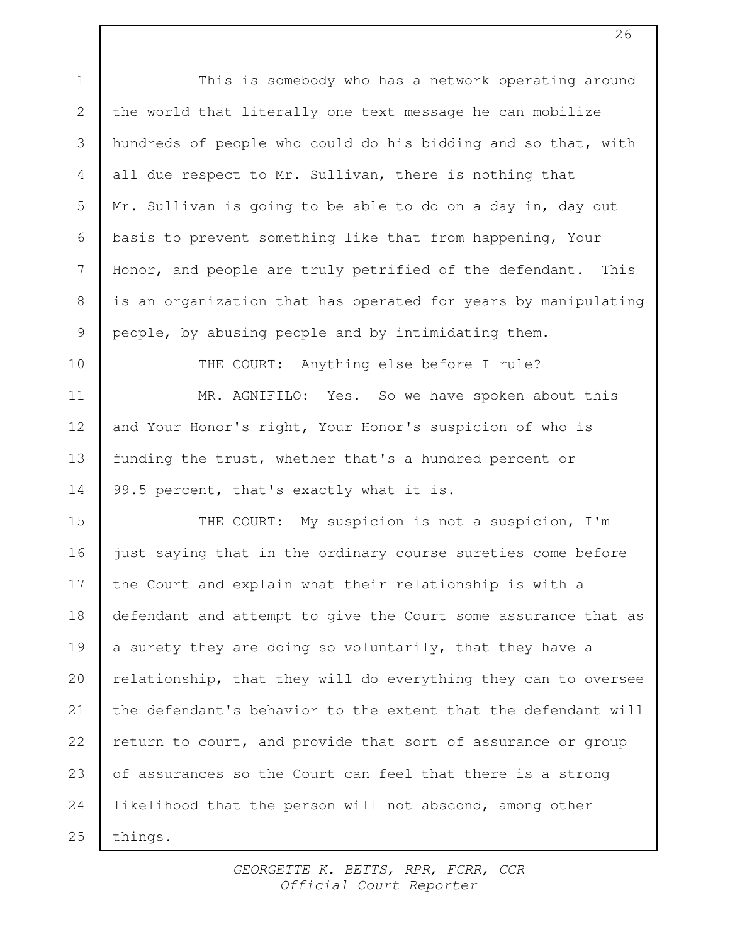This is somebody who has a network operating around the world that literally one text message he can mobilize hundreds of people who could do his bidding and so that, with all due respect to Mr. Sullivan, there is nothing that Mr. Sullivan is going to be able to do on a day in, day out basis to prevent something like that from happening, Your Honor, and people are truly petrified of the defendant. This is an organization that has operated for years by manipulating people, by abusing people and by intimidating them. THE COURT: Anything else before I rule? MR. AGNIFILO: Yes. So we have spoken about this and Your Honor's right, Your Honor's suspicion of who is funding the trust, whether that's a hundred percent or 99.5 percent, that's exactly what it is. THE COURT: My suspicion is not a suspicion, I'm just saying that in the ordinary course sureties come before the Court and explain what their relationship is with a defendant and attempt to give the Court some assurance that as a surety they are doing so voluntarily, that they have a relationship, that they will do everything they can to oversee the defendant's behavior to the extent that the defendant will return to court, and provide that sort of assurance or group of assurances so the Court can feel that there is a strong likelihood that the person will not abscond, among other things. 1 2 3 4 5 6 7 8 9 10 11 12 13 14 15 16 17 18 19 20 21 22 23 24 25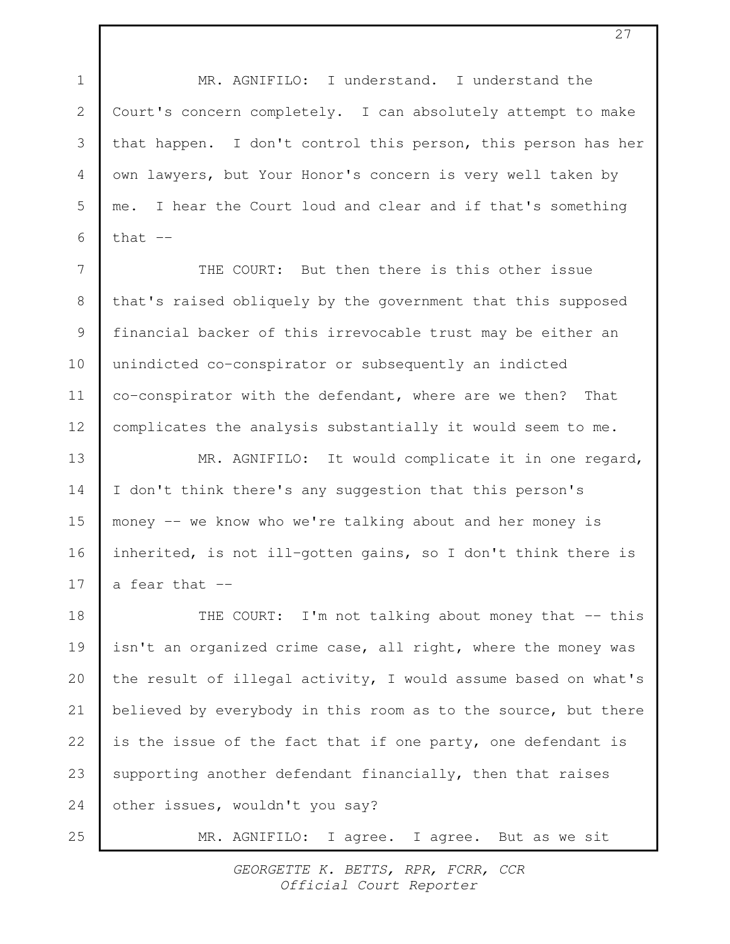MR. AGNIFILO: I understand. I understand the Court's concern completely. I can absolutely attempt to make that happen. I don't control this person, this person has her own lawyers, but Your Honor's concern is very well taken by me. I hear the Court loud and clear and if that's something that  $--$ THE COURT: But then there is this other issue that's raised obliquely by the government that this supposed financial backer of this irrevocable trust may be either an unindicted co-conspirator or subsequently an indicted co-conspirator with the defendant, where are we then? That complicates the analysis substantially it would seem to me. MR. AGNIFILO: It would complicate it in one regard, I don't think there's any suggestion that this person's money -- we know who we're talking about and her money is inherited, is not ill-gotten gains, so I don't think there is a fear that -- THE COURT: I'm not talking about money that -- this isn't an organized crime case, all right, where the money was the result of illegal activity, I would assume based on what's believed by everybody in this room as to the source, but there is the issue of the fact that if one party, one defendant is supporting another defendant financially, then that raises other issues, wouldn't you say? MR. AGNIFILO: I agree. I agree. But as we sit 1 2 3 4 5 6 7 8 9 10 11 12 13 14 15 16 17 18 19 20 21 22 23 24 25

> GEORGETTE K. BETTS, RPR, FCRR, CCR Official Court Reporter

27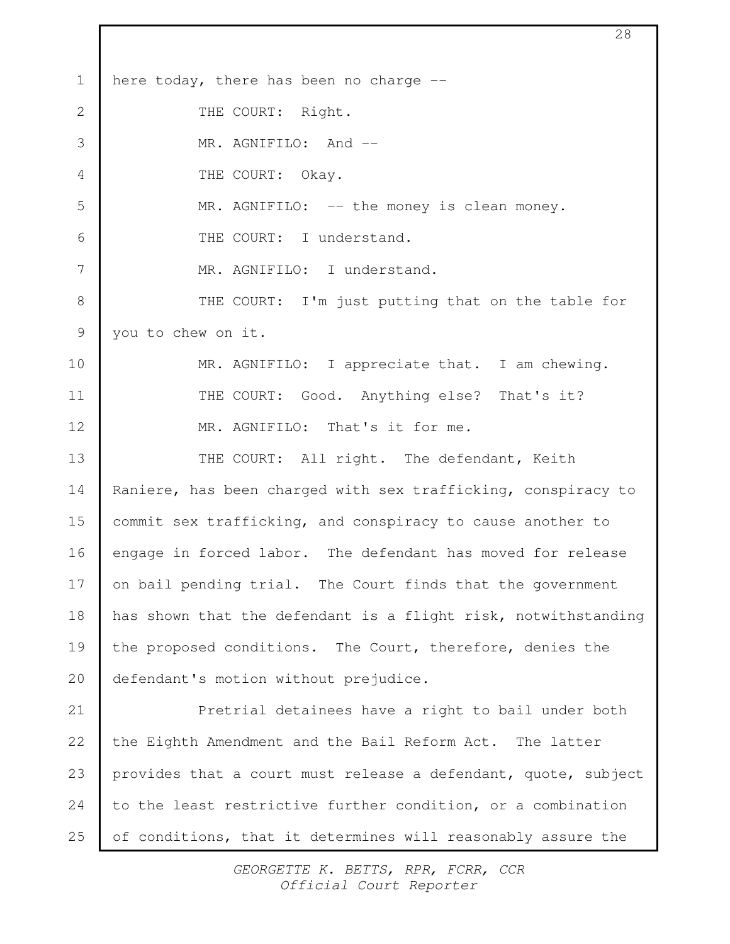here today, there has been no charge -- THE COURT: Right. MR. AGNIFILO: And --THE COURT: Okay. MR. AGNIFILO: -- the money is clean money. THE COURT: I understand. MR. AGNIFILO: I understand. THE COURT: I'm just putting that on the table for you to chew on it. MR. AGNIFILO: I appreciate that. I am chewing. THE COURT: Good. Anything else? That's it? MR. AGNIFILO: That's it for me. THE COURT: All right. The defendant, Keith Raniere, has been charged with sex trafficking, conspiracy to commit sex trafficking, and conspiracy to cause another to engage in forced labor. The defendant has moved for release on bail pending trial. The Court finds that the government has shown that the defendant is a flight risk, notwithstanding the proposed conditions. The Court, therefore, denies the defendant's motion without prejudice. Pretrial detainees have a right to bail under both the Eighth Amendment and the Bail Reform Act. The latter provides that a court must release a defendant, quote, subject to the least restrictive further condition, or a combination of conditions, that it determines will reasonably assure the 1 2 3 4 5 6 7 8 9 10 11 12 13 14 15 16 17 18 19 20 21 22 23 24 25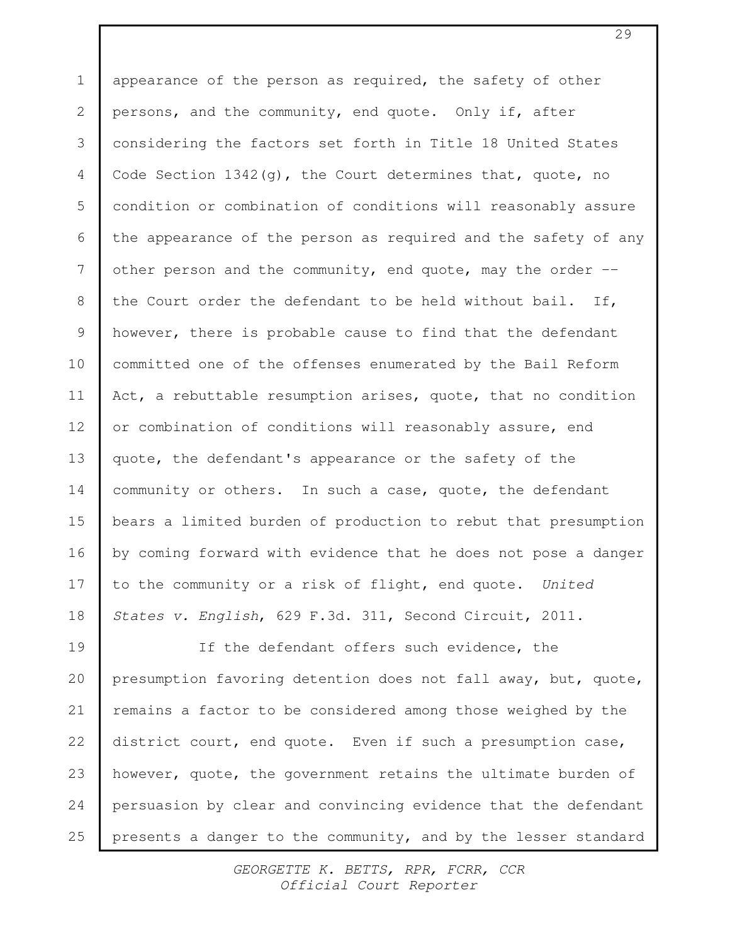appearance of the person as required, the safety of other persons, and the community, end quote. Only if, after considering the factors set forth in Title 18 United States Code Section  $1342(q)$ , the Court determines that, quote, no condition or combination of conditions will reasonably assure the appearance of the person as required and the safety of any other person and the community, end quote, may the order  $$ the Court order the defendant to be held without bail. If, however, there is probable cause to find that the defendant committed one of the offenses enumerated by the Bail Reform Act, a rebuttable resumption arises, quote, that no condition or combination of conditions will reasonably assure, end quote, the defendant's appearance or the safety of the community or others. In such a case, quote, the defendant bears a limited burden of production to rebut that presumption by coming forward with evidence that he does not pose a danger to the community or a risk of flight, end quote. United States v. English, 629 F.3d. 311, Second Circuit, 2011. If the defendant offers such evidence, the presumption favoring detention does not fall away, but, quote, 1 2 3 4 5 6 7 8 9 10 11 12 13 14 15 16 17 18 19

remains a factor to be considered among those weighed by the district court, end quote. Even if such a presumption case, however, quote, the government retains the ultimate burden of persuasion by clear and convincing evidence that the defendant presents a danger to the community, and by the lesser standard 20 21 22 23 24 25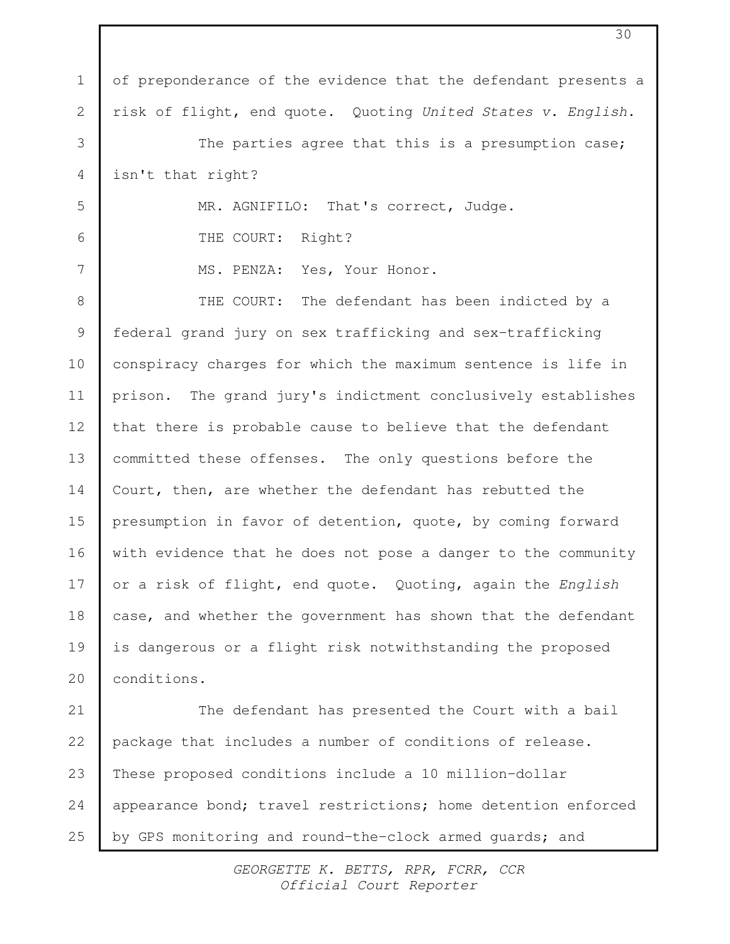of preponderance of the evidence that the defendant presents a risk of flight, end quote. Quoting United States v. English. The parties agree that this is a presumption case; isn't that right? MR. AGNIFILO: That's correct, Judge. THE COURT: Right? MS. PENZA: Yes, Your Honor. THE COURT: The defendant has been indicted by a federal grand jury on sex trafficking and sex-trafficking conspiracy charges for which the maximum sentence is life in prison. The grand jury's indictment conclusively establishes that there is probable cause to believe that the defendant committed these offenses. The only questions before the Court, then, are whether the defendant has rebutted the presumption in favor of detention, quote, by coming forward with evidence that he does not pose a danger to the community or a risk of flight, end quote. Quoting, again the English case, and whether the government has shown that the defendant is dangerous or a flight risk notwithstanding the proposed conditions. The defendant has presented the Court with a bail package that includes a number of conditions of release. These proposed conditions include a 10 million-dollar appearance bond; travel restrictions; home detention enforced by GPS monitoring and round-the-clock armed guards; and 1 2 3 4 5 6 7 8 9 10 11 12 13 14 15 16 17 18 19 20 21 22 23 24 25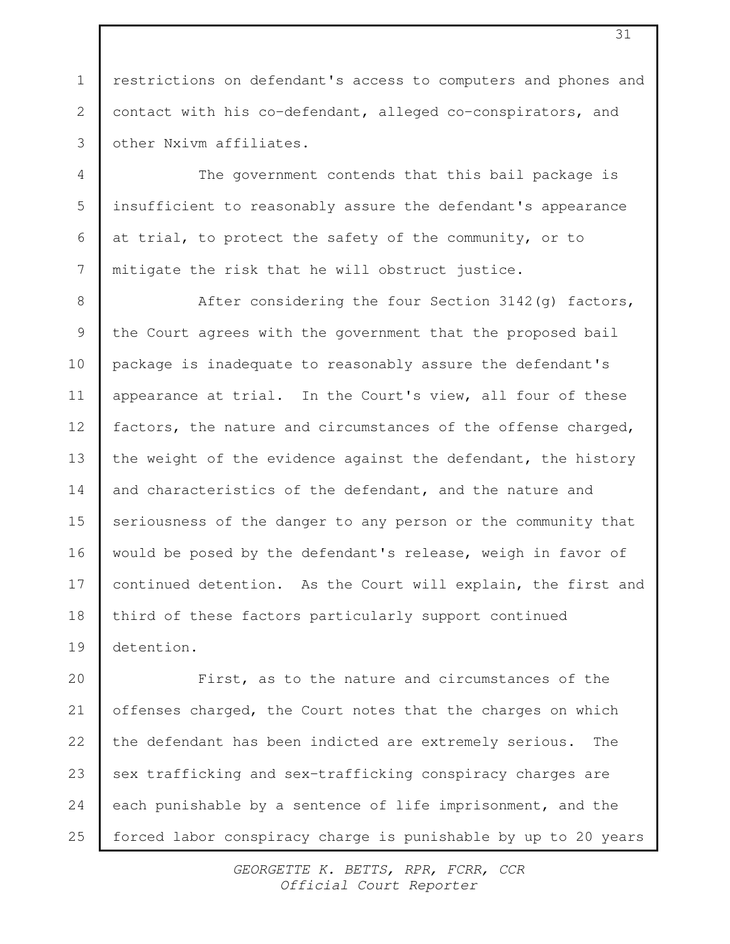restrictions on defendant's access to computers and phones and contact with his co-defendant, alleged co-conspirators, and other Nxivm affiliates.

1

2

3

4

5

6

7

The government contends that this bail package is insufficient to reasonably assure the defendant's appearance at trial, to protect the safety of the community, or to mitigate the risk that he will obstruct justice.

After considering the four Section 3142(g) factors, the Court agrees with the government that the proposed bail package is inadequate to reasonably assure the defendant's appearance at trial. In the Court's view, all four of these factors, the nature and circumstances of the offense charged, the weight of the evidence against the defendant, the history and characteristics of the defendant, and the nature and seriousness of the danger to any person or the community that would be posed by the defendant's release, weigh in favor of continued detention. As the Court will explain, the first and third of these factors particularly support continued detention. 8 9 10 11 12 13 14 15 16 17 18 19

First, as to the nature and circumstances of the offenses charged, the Court notes that the charges on which the defendant has been indicted are extremely serious. The sex trafficking and sex-trafficking conspiracy charges are each punishable by a sentence of life imprisonment, and the forced labor conspiracy charge is punishable by up to 20 years 20 21 22 23 24 25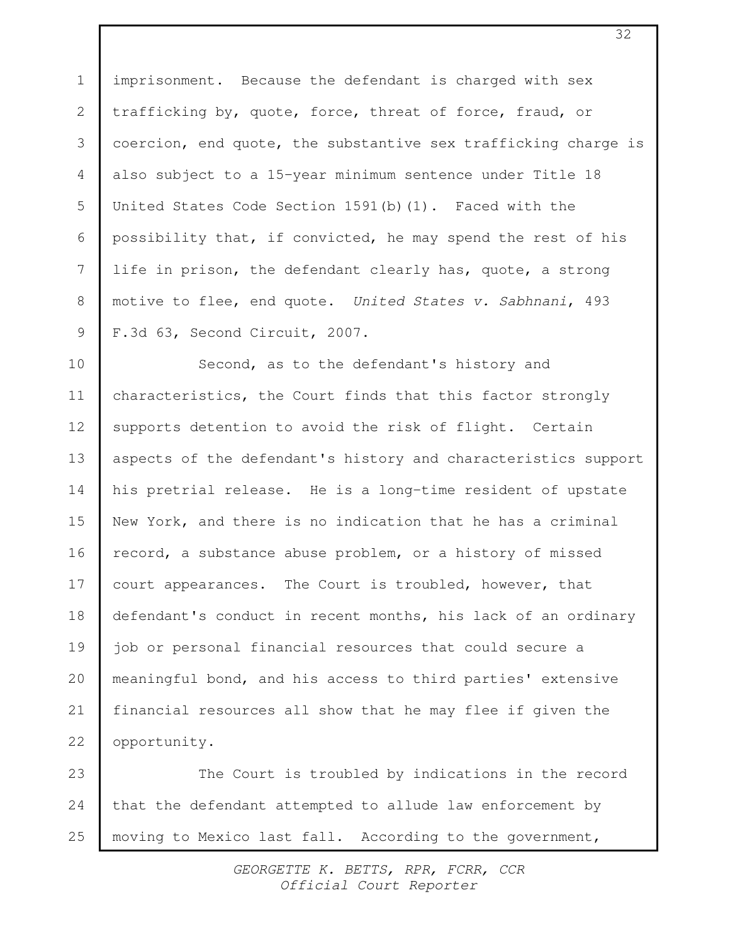imprisonment. Because the defendant is charged with sex trafficking by, quote, force, threat of force, fraud, or coercion, end quote, the substantive sex trafficking charge is also subject to a 15-year minimum sentence under Title 18 United States Code Section  $1591(b)(1)$ . Faced with the possibility that, if convicted, he may spend the rest of his life in prison, the defendant clearly has, quote, a strong motive to flee, end quote. United States v. Sabhnani, 493 F.3d 63, Second Circuit, 2007. 1 2 3 4 5 6 7 8 9

Second, as to the defendant's history and characteristics, the Court finds that this factor strongly supports detention to avoid the risk of flight. Certain aspects of the defendant's history and characteristics support his pretrial release. He is a long-time resident of upstate New York, and there is no indication that he has a criminal record, a substance abuse problem, or a history of missed court appearances. The Court is troubled, however, that defendant's conduct in recent months, his lack of an ordinary job or personal financial resources that could secure a meaningful bond, and his access to third parties' extensive financial resources all show that he may flee if given the opportunity. 10 11 12 13 14 15 16 17 18 19 20 21 22

The Court is troubled by indications in the record that the defendant attempted to allude law enforcement by moving to Mexico last fall. According to the government, 23 24 25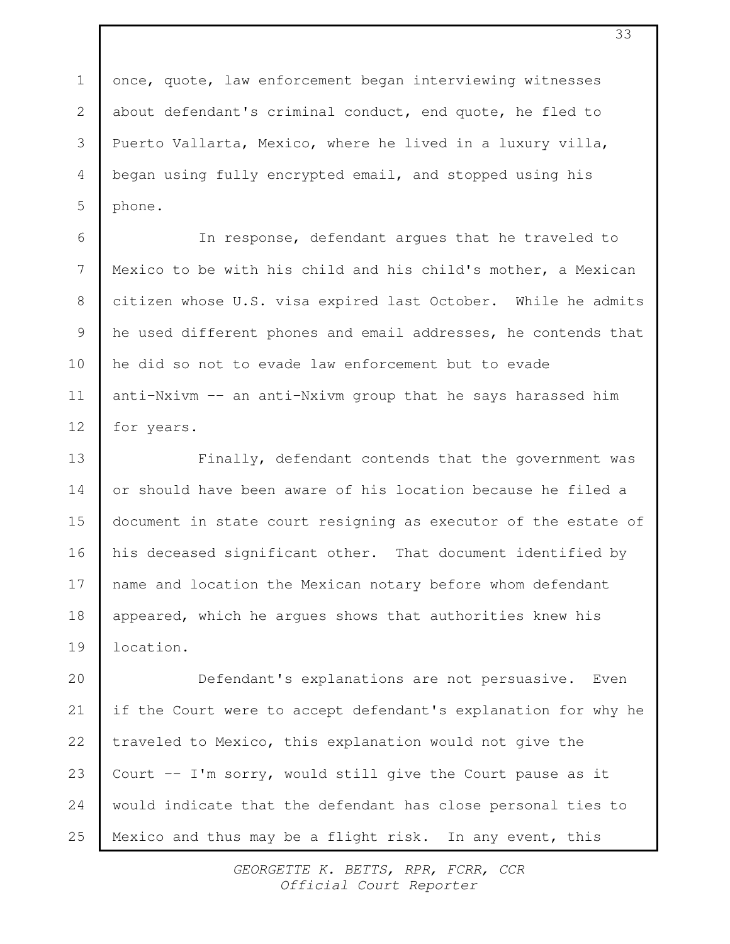once, quote, law enforcement began interviewing witnesses about defendant's criminal conduct, end quote, he fled to Puerto Vallarta, Mexico, where he lived in a luxury villa, began using fully encrypted email, and stopped using his phone. 1 2 3 4 5

In response, defendant argues that he traveled to Mexico to be with his child and his child's mother, a Mexican citizen whose U.S. visa expired last October. While he admits he used different phones and email addresses, he contends that he did so not to evade law enforcement but to evade anti-Nxivm -- an anti-Nxivm group that he says harassed him for years. 6 7 8 9 10 11 12

Finally, defendant contends that the government was or should have been aware of his location because he filed a document in state court resigning as executor of the estate of his deceased significant other. That document identified by name and location the Mexican notary before whom defendant appeared, which he argues shows that authorities knew his location. 13 14 15 16 17 18 19

Defendant's explanations are not persuasive. Even if the Court were to accept defendant's explanation for why he traveled to Mexico, this explanation would not give the Court -- I'm sorry, would still give the Court pause as it would indicate that the defendant has close personal ties to Mexico and thus may be a flight risk. In any event, this 20 21 22 23 24 25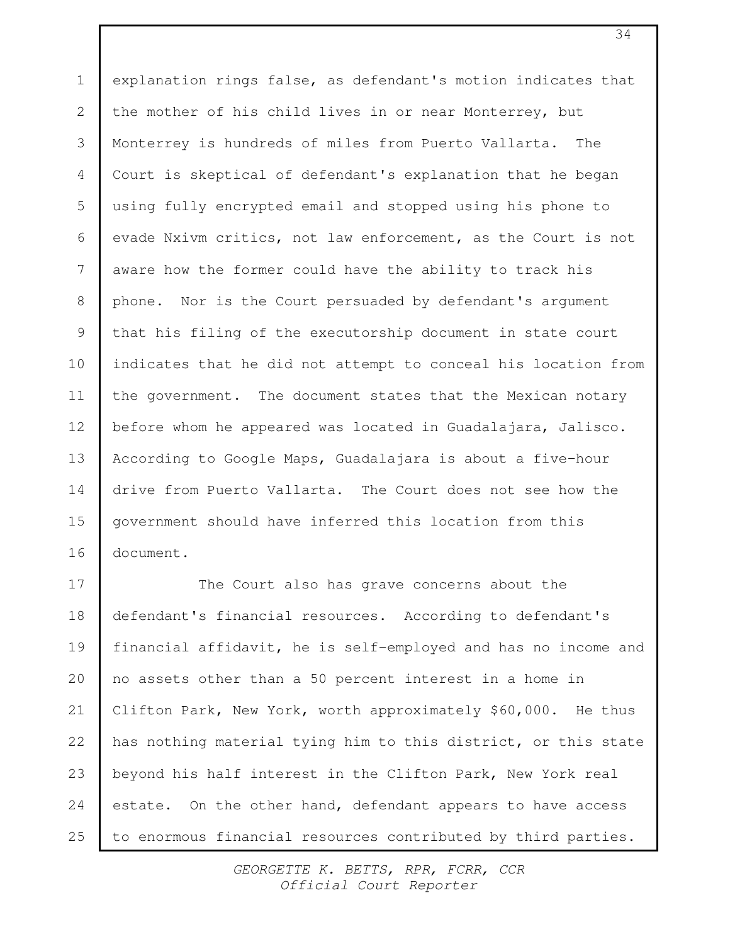explanation rings false, as defendant's motion indicates that the mother of his child lives in or near Monterrey, but Monterrey is hundreds of miles from Puerto Vallarta. The Court is skeptical of defendant's explanation that he began using fully encrypted email and stopped using his phone to evade Nxivm critics, not law enforcement, as the Court is not aware how the former could have the ability to track his phone. Nor is the Court persuaded by defendant's argument that his filing of the executorship document in state court indicates that he did not attempt to conceal his location from the government. The document states that the Mexican notary before whom he appeared was located in Guadalajara, Jalisco. According to Google Maps, Guadalajara is about a five-hour drive from Puerto Vallarta. The Court does not see how the government should have inferred this location from this document. 1 2 3 4 5 6 7 8 9 10 11 12 13 14 15 16

The Court also has grave concerns about the defendant's financial resources. According to defendant's financial affidavit, he is self-employed and has no income and no assets other than a 50 percent interest in a home in Clifton Park, New York, worth approximately \$60,000. He thus has nothing material tying him to this district, or this state beyond his half interest in the Clifton Park, New York real estate. On the other hand, defendant appears to have access to enormous financial resources contributed by third parties. 17 18 19 20 21 22 23 24 25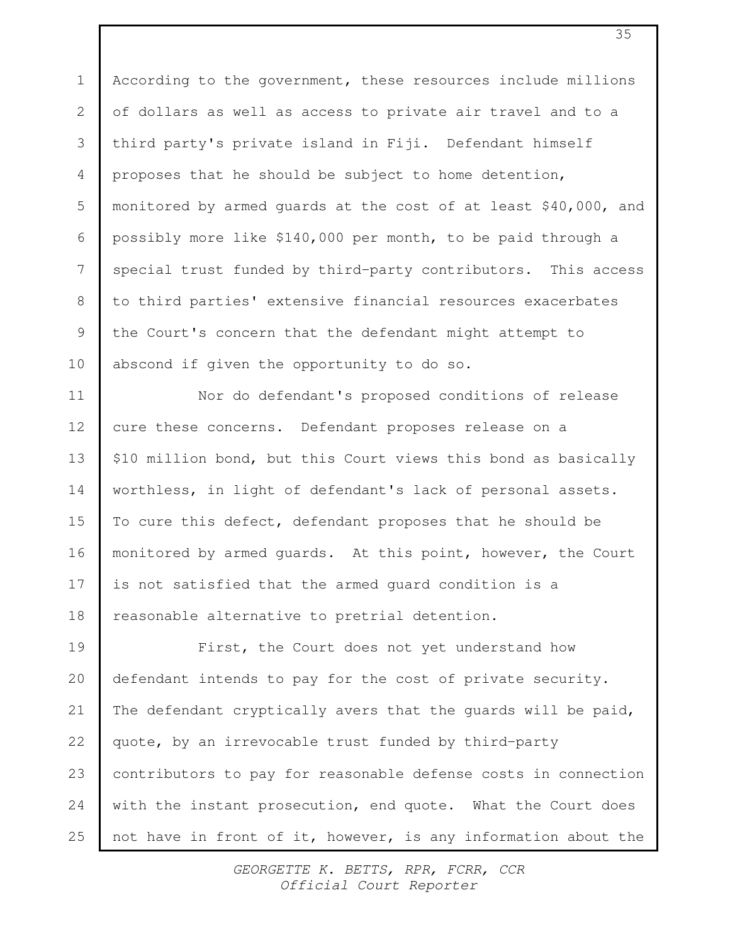According to the government, these resources include millions of dollars as well as access to private air travel and to a third party's private island in Fiji. Defendant himself proposes that he should be subject to home detention, monitored by armed guards at the cost of at least \$40,000, and possibly more like \$140,000 per month, to be paid through a special trust funded by third-party contributors. This access to third parties' extensive financial resources exacerbates the Court's concern that the defendant might attempt to abscond if given the opportunity to do so. 1 2 3 4 5 6 7 8 9 10

Nor do defendant's proposed conditions of release cure these concerns. Defendant proposes release on a \$10 million bond, but this Court views this bond as basically worthless, in light of defendant's lack of personal assets. To cure this defect, defendant proposes that he should be monitored by armed guards. At this point, however, the Court is not satisfied that the armed guard condition is a reasonable alternative to pretrial detention. 11 12 13 14 15 16 17 18

First, the Court does not yet understand how defendant intends to pay for the cost of private security. The defendant cryptically avers that the quards will be paid, quote, by an irrevocable trust funded by third-party contributors to pay for reasonable defense costs in connection with the instant prosecution, end quote. What the Court does not have in front of it, however, is any information about the 19 20 21 22 23 24 25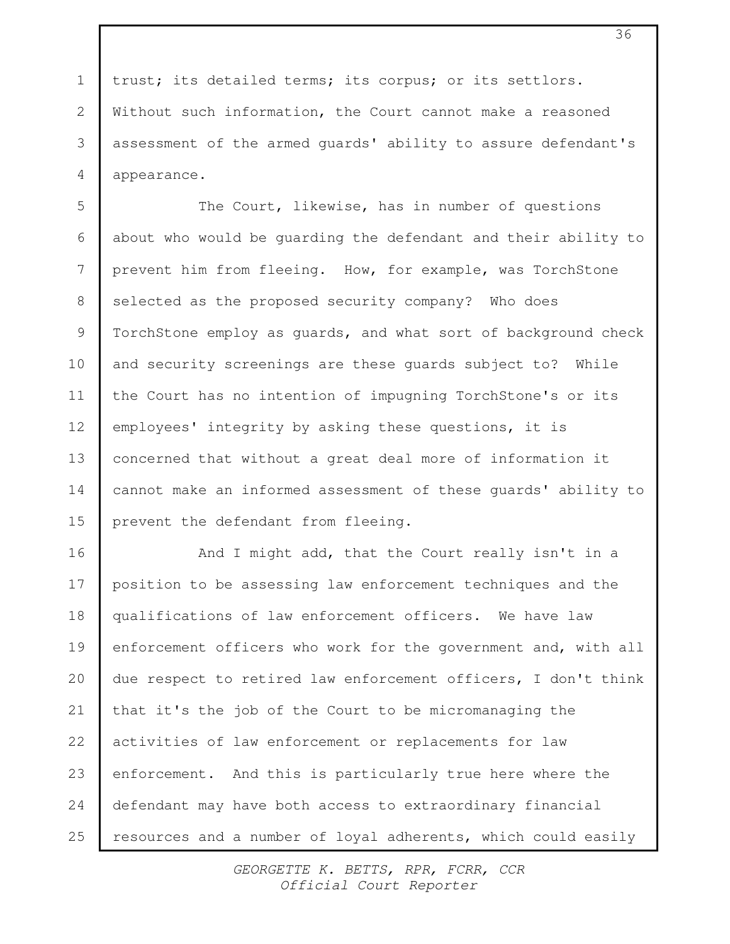trust; its detailed terms; its corpus; or its settlors. Without such information, the Court cannot make a reasoned assessment of the armed guards' ability to assure defendant's appearance.

1

2

3

4

The Court, likewise, has in number of questions about who would be guarding the defendant and their ability to prevent him from fleeing. How, for example, was TorchStone selected as the proposed security company? Who does TorchStone employ as guards, and what sort of background check and security screenings are these guards subject to? While the Court has no intention of impugning TorchStone's or its employees' integrity by asking these questions, it is concerned that without a great deal more of information it cannot make an informed assessment of these guards' ability to prevent the defendant from fleeing. 5 6 7 8 9 10 11 12 13 14 15

And I might add, that the Court really isn't in a position to be assessing law enforcement techniques and the qualifications of law enforcement officers. We have law enforcement officers who work for the government and, with all due respect to retired law enforcement officers, I don't think that it's the job of the Court to be micromanaging the activities of law enforcement or replacements for law enforcement. And this is particularly true here where the defendant may have both access to extraordinary financial resources and a number of loyal adherents, which could easily 16 17 18 19 20 21 22 23 24 25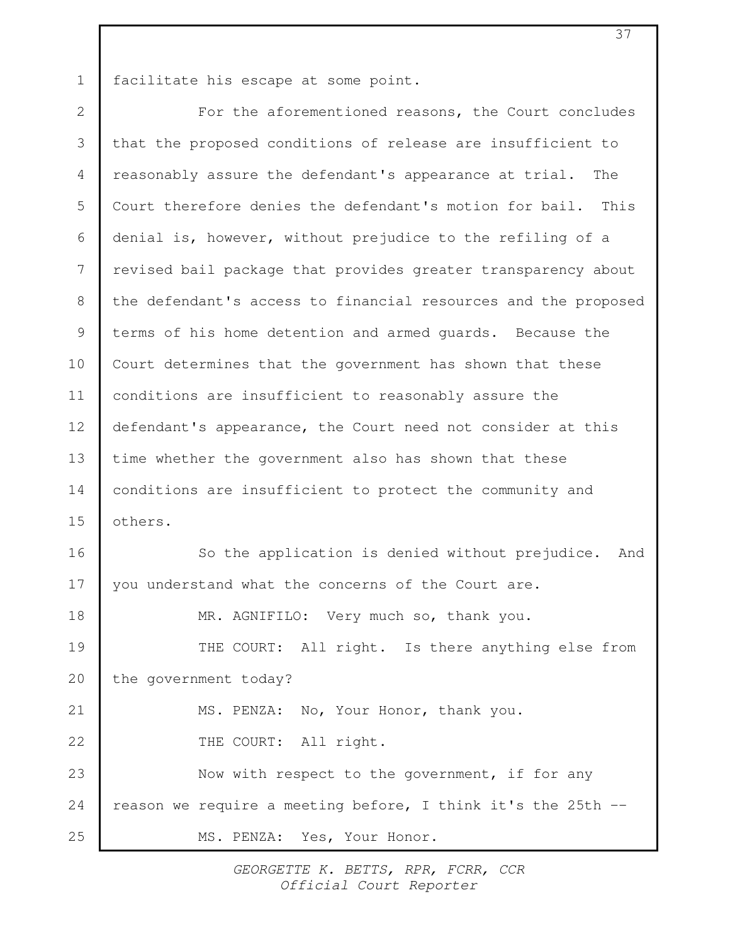facilitate his escape at some point. 1

For the aforementioned reasons, the Court concludes that the proposed conditions of release are insufficient to reasonably assure the defendant's appearance at trial. The Court therefore denies the defendant's motion for bail. This denial is, however, without prejudice to the refiling of a revised bail package that provides greater transparency about the defendant's access to financial resources and the proposed terms of his home detention and armed guards. Because the Court determines that the government has shown that these conditions are insufficient to reasonably assure the defendant's appearance, the Court need not consider at this time whether the government also has shown that these conditions are insufficient to protect the community and others. So the application is denied without prejudice. And you understand what the concerns of the Court are. MR. AGNIFILO: Very much so, thank you. THE COURT: All right. Is there anything else from the government today? MS. PENZA: No, Your Honor, thank you. THE COURT: All right. Now with respect to the government, if for any reason we require a meeting before, I think it's the 25th -- MS. PENZA: Yes, Your Honor. 2 3 4 5 6 7 8 9 10 11 12 13 14 15 16 17 18 19 20 21 22 23 24 25